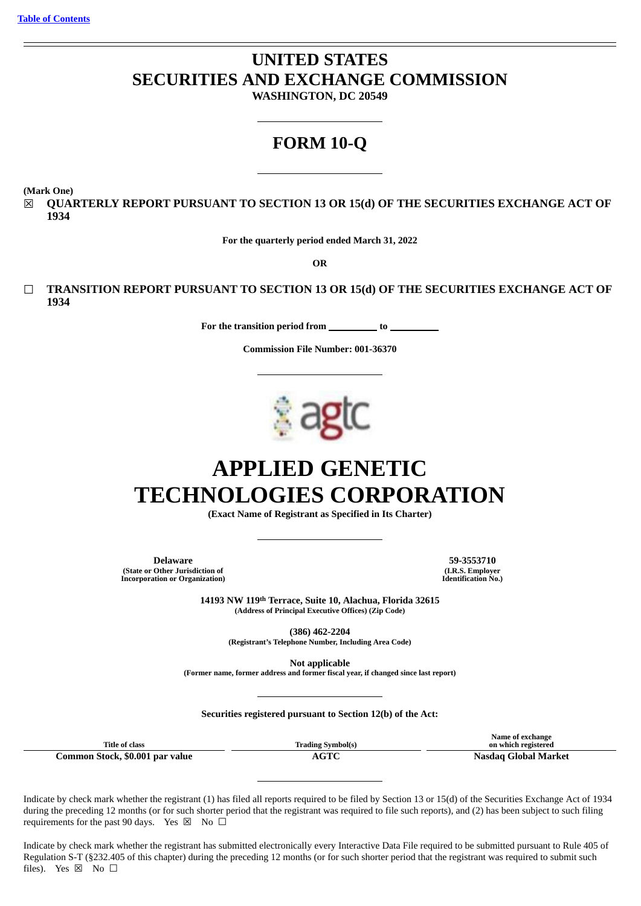# **UNITED STATES SECURITIES AND EXCHANGE COMMISSION**

**WASHINGTON, DC 20549**

# **FORM 10-Q**

**(Mark One)**

☒ **QUARTERLY REPORT PURSUANT TO SECTION 13 OR 15(d) OF THE SECURITIES EXCHANGE ACT OF 1934**

**For the quarterly period ended March 31, 2022**

**OR**

☐ **TRANSITION REPORT PURSUANT TO SECTION 13 OR 15(d) OF THE SECURITIES EXCHANGE ACT OF 1934**

**For the transition period from to**

**Commission File Number: 001-36370**



# **APPLIED GENETIC TECHNOLOGIES CORPORATION**

**(Exact Name of Registrant as Specified in Its Charter)**

**Delaware 59-3553710 (State or Other Jurisdiction of Incorporation or Organization)**

**(I.R.S. Employer Identification No.)**

**14193 NW 119 th Terrace, Suite 10, Alachua, Florida 32615 (Address of Principal Executive Offices) (Zip Code)**

> **(386) 462-2204 (Registrant's Telephone Number, Including Area Code)**

**Not applicable (Former name, former address and former fiscal year, if changed since last report)**

**Securities registered pursuant to Section 12(b) of the Act:**

|                                 |                   | Name of exchange     |
|---------------------------------|-------------------|----------------------|
| Title of class                  | Trading Symbol(s) | on which registered  |
| Common Stock, \$0.001 par value | AGTC              | Nasdag Global Market |

Indicate by check mark whether the registrant (1) has filed all reports required to be filed by Section 13 or 15(d) of the Securities Exchange Act of 1934 during the preceding 12 months (or for such shorter period that the registrant was required to file such reports), and (2) has been subject to such filing requirements for the past 90 days. Yes  $\boxtimes$  No  $\Box$ 

Indicate by check mark whether the registrant has submitted electronically every Interactive Data File required to be submitted pursuant to Rule 405 of Regulation S-T (§232.405 of this chapter) during the preceding 12 months (or for such shorter period that the registrant was required to submit such files). Yes  $\boxtimes$  No  $\square$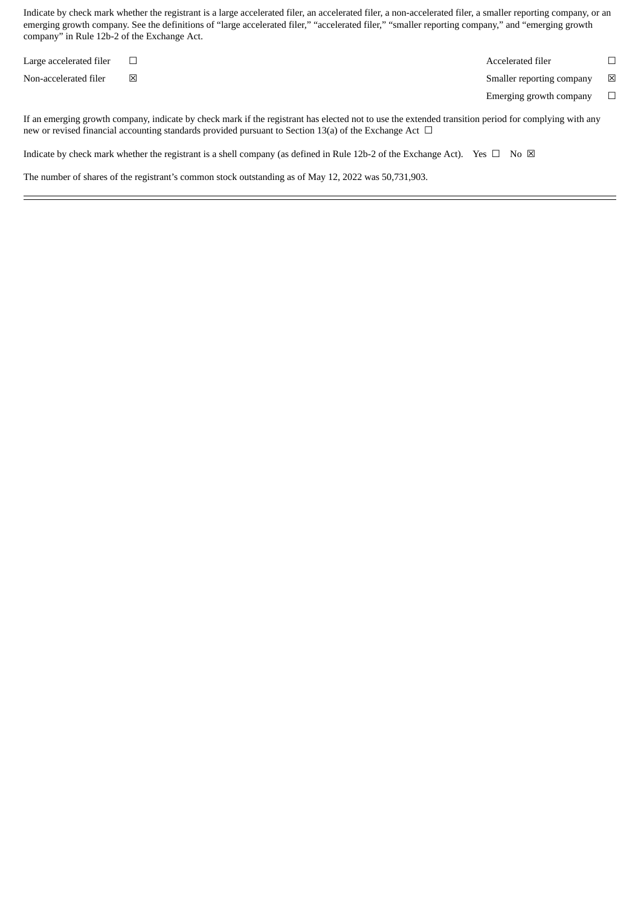Indicate by check mark whether the registrant is a large accelerated filer, an accelerated filer, a non-accelerated filer, a smaller reporting company, or an emerging growth company. See the definitions of "large accelerated filer," "accelerated filer," "smaller reporting company," and "emerging growth company" in Rule 12b-2 of the Exchange Act.

| Large accelerated filer |   | Accelerated filer                     |  |
|-------------------------|---|---------------------------------------|--|
| Non-accelerated filer   | 冈 | Smaller reporting company $\boxtimes$ |  |
|                         |   | Emerging growth company $\Box$        |  |

If an emerging growth company, indicate by check mark if the registrant has elected not to use the extended transition period for complying with any new or revised financial accounting standards provided pursuant to Section 13(a) of the Exchange Act □

Indicate by check mark whether the registrant is a shell company (as defined in Rule 12b-2 of the Exchange Act). Yes  $\Box$  No  $\boxtimes$ 

The number of shares of the registrant's common stock outstanding as of May 12, 2022 was 50,731,903.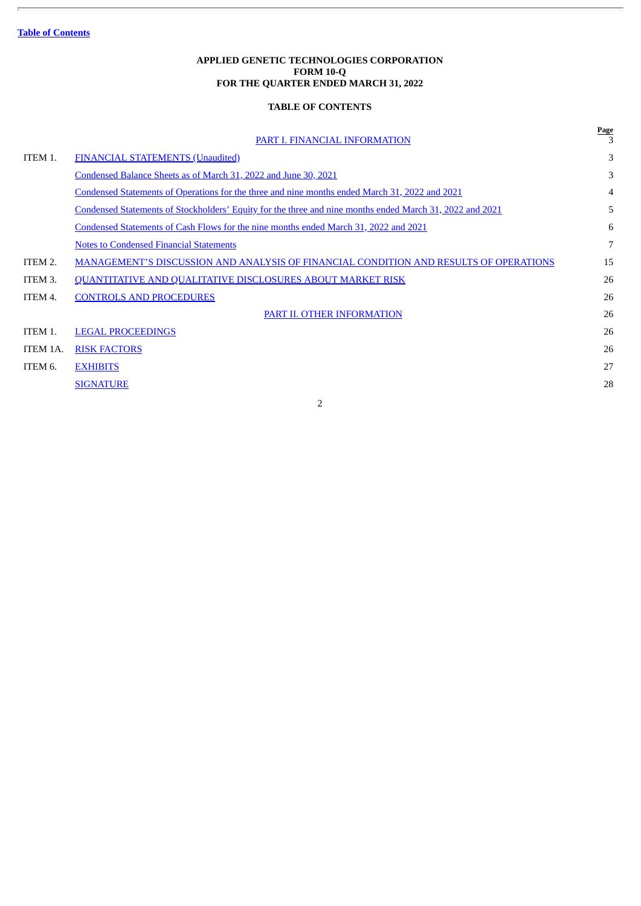$\overline{\phantom{a}}$ 

# **APPLIED GENETIC TECHNOLOGIES CORPORATION FORM 10-Q FOR THE QUARTER ENDED MARCH 31, 2022**

# **TABLE OF CONTENTS**

<span id="page-2-0"></span>

|          | PART I. FINANCIAL INFORMATION                                                                            | Page<br>3 |
|----------|----------------------------------------------------------------------------------------------------------|-----------|
| ITEM 1.  | <b>FINANCIAL STATEMENTS (Unaudited)</b>                                                                  | 3         |
|          | Condensed Balance Sheets as of March 31, 2022 and June 30, 2021                                          | 3         |
|          | Condensed Statements of Operations for the three and nine months ended March 31, 2022 and 2021           | 4         |
|          | Condensed Statements of Stockholders' Equity for the three and nine months ended March 31, 2022 and 2021 | 5         |
|          | Condensed Statements of Cash Flows for the nine months ended March 31, 2022 and 2021                     | 6         |
|          | <b>Notes to Condensed Financial Statements</b>                                                           | 7         |
| ITEM 2.  | MANAGEMENT'S DISCUSSION AND ANALYSIS OF FINANCIAL CONDITION AND RESULTS OF OPERATIONS                    | 15        |
| ITEM 3.  | <b>QUANTITATIVE AND QUALITATIVE DISCLOSURES ABOUT MARKET RISK</b>                                        | 26        |
| ITEM 4.  | <b>CONTROLS AND PROCEDURES</b>                                                                           | 26        |
|          | PART II. OTHER INFORMATION                                                                               | 26        |
| ITEM 1.  | <b>LEGAL PROCEEDINGS</b>                                                                                 | 26        |
| ITEM 1A. | <b>RISK FACTORS</b>                                                                                      | 26        |
| ITEM 6.  | <b>EXHIBITS</b>                                                                                          | 27        |
|          | <b>SIGNATURE</b>                                                                                         | 28        |
|          | $\overline{2}$                                                                                           |           |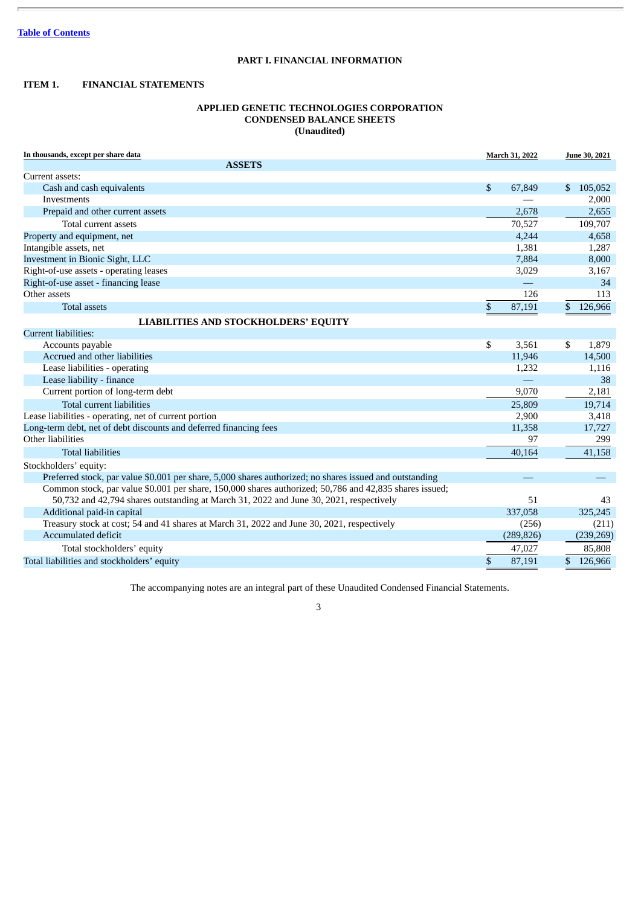# **PART I. FINANCIAL INFORMATION**

# <span id="page-3-2"></span><span id="page-3-1"></span><span id="page-3-0"></span>**ITEM 1. FINANCIAL STATEMENTS**

# **APPLIED GENETIC TECHNOLOGIES CORPORATION CONDENSED BALANCE SHEETS (Unaudited)**

| In thousands, except per share data                                                                     |    | March 31, 2022 | June 30, 2021 |            |
|---------------------------------------------------------------------------------------------------------|----|----------------|---------------|------------|
| <b>ASSETS</b>                                                                                           |    |                |               |            |
| Current assets:                                                                                         |    |                |               |            |
| Cash and cash equivalents                                                                               | \$ | 67,849         |               | \$105,052  |
| Investments                                                                                             |    |                |               | 2,000      |
| Prepaid and other current assets                                                                        |    | 2.678          |               | 2,655      |
| Total current assets                                                                                    |    | 70,527         |               | 109,707    |
| Property and equipment, net                                                                             |    | 4,244          |               | 4,658      |
| Intangible assets, net                                                                                  |    | 1,381          |               | 1,287      |
| Investment in Bionic Sight, LLC                                                                         |    | 7,884          |               | 8,000      |
| Right-of-use assets - operating leases                                                                  |    | 3,029          |               | 3,167      |
| Right-of-use asset - financing lease                                                                    |    |                |               | 34         |
| Other assets                                                                                            |    | 126            |               | 113        |
| <b>Total assets</b>                                                                                     | \$ | 87,191         | $\mathbb{S}$  | 126,966    |
| <b>LIABILITIES AND STOCKHOLDERS' EQUITY</b>                                                             |    |                |               |            |
| <b>Current liabilities:</b>                                                                             |    |                |               |            |
| Accounts payable                                                                                        | \$ | 3,561          | \$            | 1,879      |
| Accrued and other liabilities                                                                           |    | 11,946         |               | 14,500     |
| Lease liabilities - operating                                                                           |    | 1,232          |               | 1,116      |
| Lease liability - finance                                                                               |    |                |               | 38         |
| Current portion of long-term debt                                                                       |    | 9,070          |               | 2,181      |
| Total current liabilities                                                                               |    | 25,809         |               | 19,714     |
| Lease liabilities - operating, net of current portion                                                   |    | 2,900          |               | 3,418      |
| Long-term debt, net of debt discounts and deferred financing fees                                       |    | 11,358         |               | 17,727     |
| Other liabilities                                                                                       |    | 97             |               | 299        |
| <b>Total liabilities</b>                                                                                |    | 40,164         |               | 41,158     |
| Stockholders' equity:                                                                                   |    |                |               |            |
| Preferred stock, par value \$0.001 per share, 5,000 shares authorized; no shares issued and outstanding |    |                |               |            |
| Common stock, par value \$0.001 per share, 150,000 shares authorized; 50,786 and 42,835 shares issued;  |    |                |               |            |
| 50,732 and 42,794 shares outstanding at March 31, 2022 and June 30, 2021, respectively                  |    | 51             |               | 43         |
| Additional paid-in capital                                                                              |    | 337,058        |               | 325,245    |
| Treasury stock at cost; 54 and 41 shares at March 31, 2022 and June 30, 2021, respectively              |    | (256)          |               | (211)      |
| <b>Accumulated deficit</b>                                                                              |    | (289, 826)     |               | (239, 269) |
| Total stockholders' equity                                                                              |    | 47,027         |               | 85,808     |
| Total liabilities and stockholders' equity                                                              | \$ | 87,191         |               | \$126,966  |

The accompanying notes are an integral part of these Unaudited Condensed Financial Statements.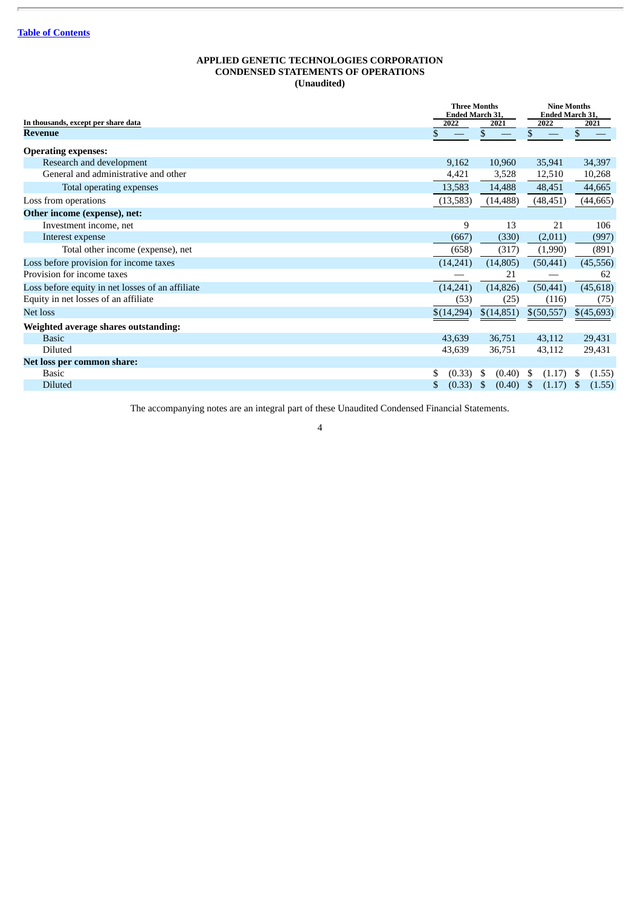# **APPLIED GENETIC TECHNOLOGIES CORPORATION CONDENSED STATEMENTS OF OPERATIONS (Unaudited)**

<span id="page-4-0"></span>

|                                                  |              | <b>Three Months</b><br><b>Ended March 31.</b> | <b>Nine Months</b><br><b>Ended March 31,</b> |              |
|--------------------------------------------------|--------------|-----------------------------------------------|----------------------------------------------|--------------|
| In thousands, except per share data              | 2022         | 2021                                          | 2022                                         | 2021         |
| Revenue                                          | \$           | \$                                            | \$                                           | \$           |
| <b>Operating expenses:</b>                       |              |                                               |                                              |              |
| Research and development                         | 9,162        | 10,960                                        | 35,941                                       | 34,397       |
| General and administrative and other             | 4,421        | 3,528                                         | 12,510                                       | 10,268       |
| Total operating expenses                         | 13,583       | 14,488                                        | 48,451                                       | 44,665       |
| Loss from operations                             | (13, 583)    | (14, 488)                                     | (48, 451)                                    | (44, 665)    |
| Other income (expense), net:                     |              |                                               |                                              |              |
| Investment income, net                           | 9            | 13                                            | 21                                           | 106          |
| Interest expense                                 | (667)        | (330)                                         | (2,011)                                      | (997)        |
| Total other income (expense), net                | (658)        | (317)                                         | (1,990)                                      | (891)        |
| Loss before provision for income taxes           | (14,241)     | (14, 805)                                     | (50, 441)                                    | (45, 556)    |
| Provision for income taxes                       |              | 21                                            |                                              | 62           |
| Loss before equity in net losses of an affiliate | (14,241)     | (14, 826)                                     | (50, 441)                                    | (45, 618)    |
| Equity in net losses of an affiliate             | (53)         | (25)                                          | (116)                                        | (75)         |
| Net loss                                         | \$(14,294)   | \$(14,851)                                    | \$(50, 557)                                  | \$(45,693)   |
| Weighted average shares outstanding:             |              |                                               |                                              |              |
| <b>Basic</b>                                     | 43,639       | 36,751                                        | 43,112                                       | 29,431       |
| <b>Diluted</b>                                   | 43,639       | 36,751                                        | 43,112                                       | 29,431       |
| Net loss per common share:                       |              |                                               |                                              |              |
| <b>Basic</b>                                     | (0.33)<br>S  | (0.40)<br>S                                   | (1.17)<br>-S                                 | (1.55)       |
| <b>Diluted</b>                                   | \$<br>(0.33) | (0.40)<br>\$.                                 | (1.17)<br>\$                                 | \$<br>(1.55) |

The accompanying notes are an integral part of these Unaudited Condensed Financial Statements.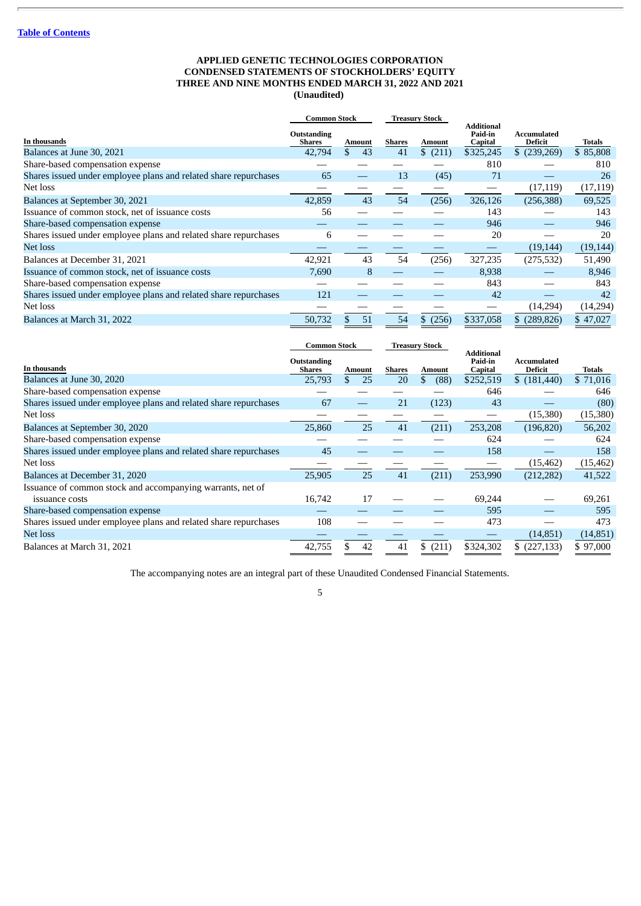# **APPLIED GENETIC TECHNOLOGIES CORPORATION CONDENSED STATEMENTS OF STOCKHOLDERS' EQUITY THREE AND NINE MONTHS ENDED MARCH 31, 2022 AND 2021 (Unaudited)**

<span id="page-5-0"></span>

|                                                                  | <b>Common Stock</b>   |               | <b>Treasury Stock</b> |               |                                         |                               |           |
|------------------------------------------------------------------|-----------------------|---------------|-----------------------|---------------|-----------------------------------------|-------------------------------|-----------|
| In thousands                                                     | Outstanding<br>Shares | <b>Amount</b> | <b>Shares</b>         | <b>Amount</b> | <b>Additional</b><br>Paid-in<br>Capital | Accumulated<br><b>Deficit</b> | Totals    |
| Balances at June 30, 2021                                        | 42,794                | 43            | 41                    | \$(211)       | \$325,245                               | $$$ (239,269)                 | \$85,808  |
| Share-based compensation expense                                 |                       |               |                       |               | 810                                     |                               | 810       |
| Shares issued under employee plans and related share repurchases | 65                    |               | 13                    | (45)          | 71                                      |                               | 26        |
| Net loss                                                         |                       |               |                       |               |                                         | (17, 119)                     | (17, 119) |
| Balances at September 30, 2021                                   | 42,859                | 43            | 54                    | (256)         | 326,126                                 | (256, 388)                    | 69,525    |
| Issuance of common stock, net of issuance costs                  | 56                    |               |                       |               | 143                                     |                               | 143       |
| Share-based compensation expense                                 |                       |               |                       |               | 946                                     |                               | 946       |
| Shares issued under employee plans and related share repurchases | 6                     |               |                       |               | 20                                      |                               | 20        |
| Net loss                                                         |                       |               |                       |               |                                         | (19, 144)                     | (19, 144) |
| Balances at December 31, 2021                                    | 42,921                | 43            | 54                    | (256)         | 327,235                                 | (275, 532)                    | 51,490    |
| Issuance of common stock, net of issuance costs                  | 7,690                 | 8             |                       |               | 8,938                                   |                               | 8,946     |
| Share-based compensation expense                                 |                       |               |                       |               | 843                                     |                               | 843       |
| Shares issued under employee plans and related share repurchases | 121                   |               |                       |               | 42                                      |                               | 42        |
| Net loss                                                         |                       |               |                       |               |                                         | (14,294)                      | (14,294)  |
| Balances at March 31, 2022                                       | 50,732                | 51            | 54                    | \$(256)       | \$337,058                               | \$(289, 826)                  | \$47,027  |

|                                                                  | <b>Common Stock</b>   |               | <b>Treasury Stock</b> |            |                                         |                               |           |
|------------------------------------------------------------------|-----------------------|---------------|-----------------------|------------|-----------------------------------------|-------------------------------|-----------|
| In thousands                                                     | Outstanding<br>Shares | <b>Amount</b> | <b>Shares</b>         | Amount     | <b>Additional</b><br>Paid-in<br>Capital | Accumulated<br><b>Deficit</b> | Totals    |
| Balances at June 30, 2020                                        | 25,793                | 25            | 20                    | \$<br>(88) | \$252,519                               | \$(181,440)                   | \$71,016  |
| Share-based compensation expense                                 |                       |               |                       |            | 646                                     |                               | 646       |
| Shares issued under employee plans and related share repurchases | 67                    |               | 21                    | (123)      | 43                                      |                               | (80)      |
| Net loss                                                         |                       |               |                       |            |                                         | (15,380)                      | (15,380)  |
| Balances at September 30, 2020                                   | 25,860                | 25            | 41                    | (211)      | 253,208                                 | (196, 820)                    | 56,202    |
| Share-based compensation expense                                 |                       |               |                       |            | 624                                     |                               | 624       |
| Shares issued under employee plans and related share repurchases | 45                    |               |                       |            | 158                                     |                               | 158       |
| Net loss                                                         |                       |               |                       |            |                                         | (15, 462)                     | (15, 462) |
| Balances at December 31, 2020                                    | 25,905                | 25            | 41                    | (211)      | 253,990                                 | (212, 282)                    | 41,522    |
| Issuance of common stock and accompanying warrants, net of       |                       |               |                       |            |                                         |                               |           |
| issuance costs                                                   | 16,742                | 17            |                       |            | 69,244                                  |                               | 69,261    |
| Share-based compensation expense                                 |                       |               |                       |            | 595                                     |                               | 595       |
| Shares issued under employee plans and related share repurchases | 108                   |               |                       |            | 473                                     |                               | 473       |
| Net loss                                                         |                       |               |                       |            |                                         | (14, 851)                     | (14, 851) |
| Balances at March 31, 2021                                       | 42,755                | 42<br>S.      | 41                    | \$(211)    | \$324,302                               | \$(227, 133)                  | \$97,000  |

The accompanying notes are an integral part of these Unaudited Condensed Financial Statements.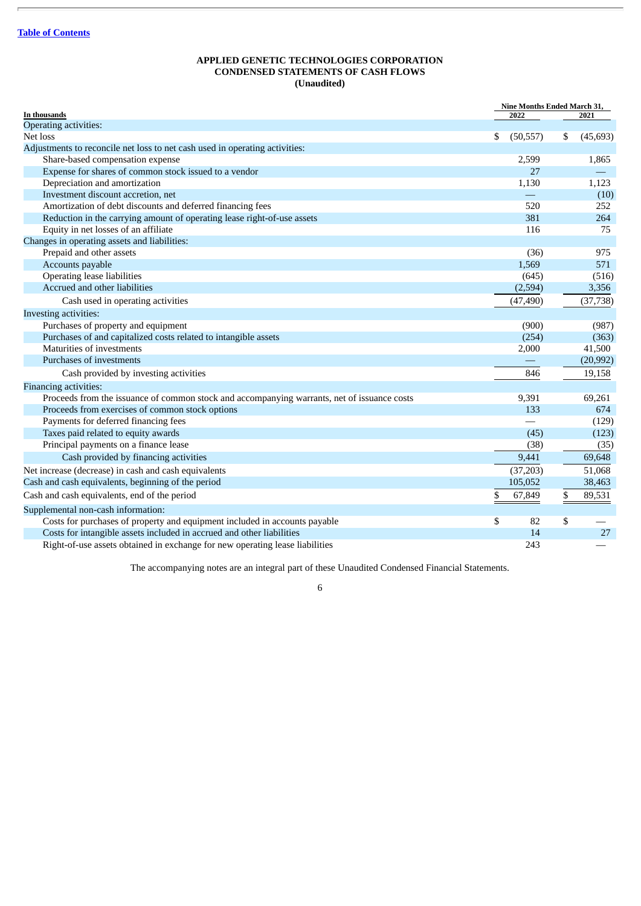# **APPLIED GENETIC TECHNOLOGIES CORPORATION CONDENSED STATEMENTS OF CASH FLOWS (Unaudited)**

<span id="page-6-0"></span>

|                                                                                             | Nine Months Ended March 31, |           |    |           |
|---------------------------------------------------------------------------------------------|-----------------------------|-----------|----|-----------|
| In thousands                                                                                |                             | 2022      |    | 2021      |
| Operating activities:<br>Net loss                                                           | \$                          | (50, 557) | \$ | (45, 693) |
| Adjustments to reconcile net loss to net cash used in operating activities:                 |                             |           |    |           |
| Share-based compensation expense                                                            |                             | 2,599     |    | 1,865     |
| Expense for shares of common stock issued to a vendor                                       |                             | 27        |    |           |
| Depreciation and amortization                                                               |                             | 1,130     |    | 1,123     |
| Investment discount accretion, net                                                          |                             |           |    | (10)      |
| Amortization of debt discounts and deferred financing fees                                  |                             | 520       |    | 252       |
| Reduction in the carrying amount of operating lease right-of-use assets                     |                             | 381       |    | 264       |
| Equity in net losses of an affiliate                                                        |                             | 116       |    | 75        |
| Changes in operating assets and liabilities:                                                |                             |           |    |           |
| Prepaid and other assets                                                                    |                             | (36)      |    | 975       |
| Accounts payable                                                                            |                             | 1,569     |    | 571       |
| <b>Operating lease liabilities</b>                                                          |                             | (645)     |    | (516)     |
| Accrued and other liabilities                                                               |                             | (2,594)   |    | 3,356     |
| Cash used in operating activities                                                           |                             | (47, 490) |    | (37, 738) |
| Investing activities:                                                                       |                             |           |    |           |
| Purchases of property and equipment                                                         |                             | (900)     |    | (987)     |
| Purchases of and capitalized costs related to intangible assets                             |                             | (254)     |    | (363)     |
| Maturities of investments                                                                   |                             | 2,000     |    | 41,500    |
| Purchases of investments                                                                    |                             |           |    | (20, 992) |
| Cash provided by investing activities                                                       |                             | 846       |    | 19,158    |
| Financing activities:                                                                       |                             |           |    |           |
| Proceeds from the issuance of common stock and accompanying warrants, net of issuance costs |                             | 9,391     |    | 69,261    |
| Proceeds from exercises of common stock options                                             |                             | 133       |    | 674       |
| Payments for deferred financing fees                                                        |                             |           |    | (129)     |
| Taxes paid related to equity awards                                                         |                             | (45)      |    | (123)     |
| Principal payments on a finance lease                                                       |                             | (38)      |    | (35)      |
| Cash provided by financing activities                                                       |                             | 9,441     |    | 69,648    |
| Net increase (decrease) in cash and cash equivalents                                        |                             | (37, 203) |    | 51,068    |
| Cash and cash equivalents, beginning of the period                                          |                             | 105,052   |    | 38,463    |
| Cash and cash equivalents, end of the period                                                | \$                          | 67,849    | \$ | 89,531    |
| Supplemental non-cash information:                                                          |                             |           |    |           |
| Costs for purchases of property and equipment included in accounts payable                  | \$                          | 82        | \$ |           |
| Costs for intangible assets included in accrued and other liabilities                       |                             | 14        |    | 27        |
| Right-of-use assets obtained in exchange for new operating lease liabilities                |                             | 243       |    |           |

The accompanying notes are an integral part of these Unaudited Condensed Financial Statements.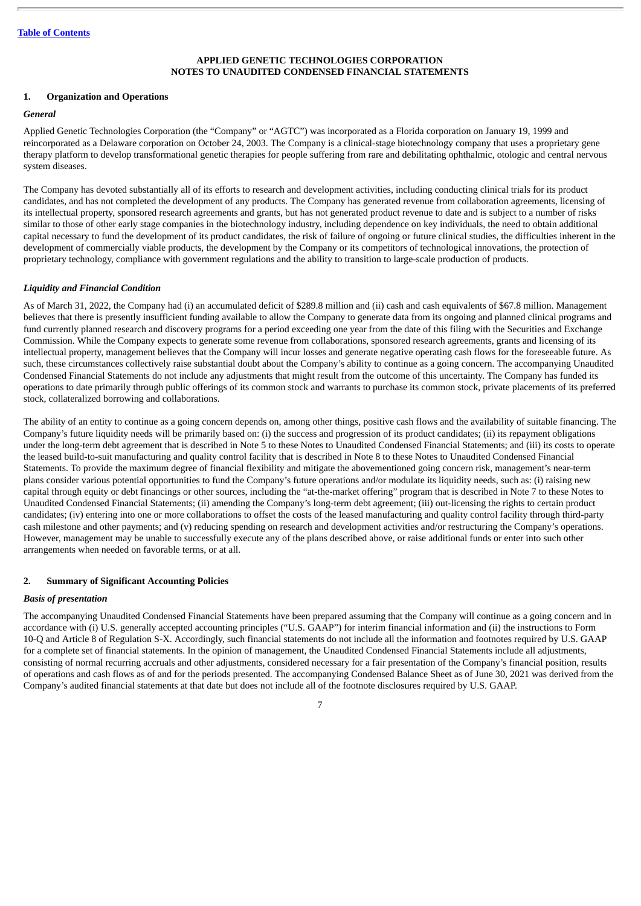# **APPLIED GENETIC TECHNOLOGIES CORPORATION NOTES TO UNAUDITED CONDENSED FINANCIAL STATEMENTS**

#### <span id="page-7-0"></span>**1. Organization and Operations**

#### *General*

Applied Genetic Technologies Corporation (the "Company" or "AGTC") was incorporated as a Florida corporation on January 19, 1999 and reincorporated as a Delaware corporation on October 24, 2003. The Company is a clinical-stage biotechnology company that uses a proprietary gene therapy platform to develop transformational genetic therapies for people suffering from rare and debilitating ophthalmic, otologic and central nervous system diseases.

The Company has devoted substantially all of its efforts to research and development activities, including conducting clinical trials for its product candidates, and has not completed the development of any products. The Company has generated revenue from collaboration agreements, licensing of its intellectual property, sponsored research agreements and grants, but has not generated product revenue to date and is subject to a number of risks similar to those of other early stage companies in the biotechnology industry, including dependence on key individuals, the need to obtain additional capital necessary to fund the development of its product candidates, the risk of failure of ongoing or future clinical studies, the difficulties inherent in the development of commercially viable products, the development by the Company or its competitors of technological innovations, the protection of proprietary technology, compliance with government regulations and the ability to transition to large-scale production of products.

#### *Liquidity and Financial Condition*

As of March 31, 2022, the Company had (i) an accumulated deficit of \$289.8 million and (ii) cash and cash equivalents of \$67.8 million. Management believes that there is presently insufficient funding available to allow the Company to generate data from its ongoing and planned clinical programs and fund currently planned research and discovery programs for a period exceeding one year from the date of this filing with the Securities and Exchange Commission. While the Company expects to generate some revenue from collaborations, sponsored research agreements, grants and licensing of its intellectual property, management believes that the Company will incur losses and generate negative operating cash flows for the foreseeable future. As such, these circumstances collectively raise substantial doubt about the Company's ability to continue as a going concern. The accompanying Unaudited Condensed Financial Statements do not include any adjustments that might result from the outcome of this uncertainty. The Company has funded its operations to date primarily through public offerings of its common stock and warrants to purchase its common stock, private placements of its preferred stock, collateralized borrowing and collaborations.

The ability of an entity to continue as a going concern depends on, among other things, positive cash flows and the availability of suitable financing. The Company's future liquidity needs will be primarily based on: (i) the success and progression of its product candidates; (ii) its repayment obligations under the long-term debt agreement that is described in Note 5 to these Notes to Unaudited Condensed Financial Statements; and (iii) its costs to operate the leased build-to-suit manufacturing and quality control facility that is described in Note 8 to these Notes to Unaudited Condensed Financial Statements. To provide the maximum degree of financial flexibility and mitigate the abovementioned going concern risk, management's near-term plans consider various potential opportunities to fund the Company's future operations and/or modulate its liquidity needs, such as: (i) raising new capital through equity or debt financings or other sources, including the "at-the-market offering" program that is described in Note 7 to these Notes to Unaudited Condensed Financial Statements; (ii) amending the Company's long-term debt agreement; (iii) out-licensing the rights to certain product candidates; (iv) entering into one or more collaborations to offset the costs of the leased manufacturing and quality control facility through third-party cash milestone and other payments; and (v) reducing spending on research and development activities and/or restructuring the Company's operations. However, management may be unable to successfully execute any of the plans described above, or raise additional funds or enter into such other arrangements when needed on favorable terms, or at all.

# **2. Summary of Significant Accounting Policies**

#### *Basis of presentation*

The accompanying Unaudited Condensed Financial Statements have been prepared assuming that the Company will continue as a going concern and in accordance with (i) U.S. generally accepted accounting principles ("U.S. GAAP") for interim financial information and (ii) the instructions to Form 10-Q and Article 8 of Regulation S-X. Accordingly, such financial statements do not include all the information and footnotes required by U.S. GAAP for a complete set of financial statements. In the opinion of management, the Unaudited Condensed Financial Statements include all adjustments, consisting of normal recurring accruals and other adjustments, considered necessary for a fair presentation of the Company's financial position, results of operations and cash flows as of and for the periods presented. The accompanying Condensed Balance Sheet as of June 30, 2021 was derived from the Company's audited financial statements at that date but does not include all of the footnote disclosures required by U.S. GAAP.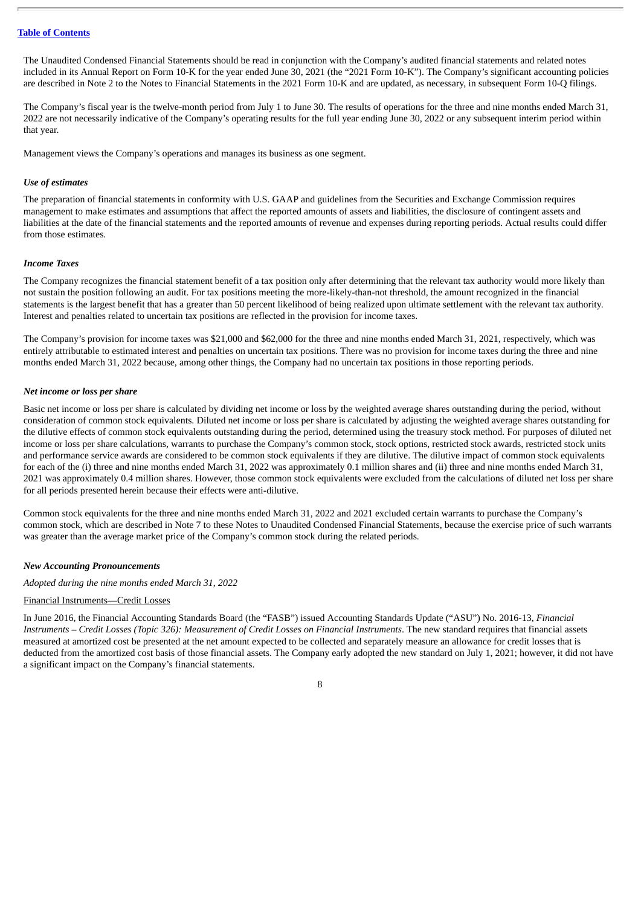The Unaudited Condensed Financial Statements should be read in conjunction with the Company's audited financial statements and related notes included in its Annual Report on Form 10-K for the year ended June 30, 2021 (the "2021 Form 10-K"). The Company's significant accounting policies are described in Note 2 to the Notes to Financial Statements in the 2021 Form 10-K and are updated, as necessary, in subsequent Form 10-Q filings.

The Company's fiscal year is the twelve-month period from July 1 to June 30. The results of operations for the three and nine months ended March 31, 2022 are not necessarily indicative of the Company's operating results for the full year ending June 30, 2022 or any subsequent interim period within that year.

Management views the Company's operations and manages its business as one segment.

#### *Use of estimates*

The preparation of financial statements in conformity with U.S. GAAP and guidelines from the Securities and Exchange Commission requires management to make estimates and assumptions that affect the reported amounts of assets and liabilities, the disclosure of contingent assets and liabilities at the date of the financial statements and the reported amounts of revenue and expenses during reporting periods. Actual results could differ from those estimates.

## *Income Taxes*

The Company recognizes the financial statement benefit of a tax position only after determining that the relevant tax authority would more likely than not sustain the position following an audit. For tax positions meeting the more-likely-than-not threshold, the amount recognized in the financial statements is the largest benefit that has a greater than 50 percent likelihood of being realized upon ultimate settlement with the relevant tax authority. Interest and penalties related to uncertain tax positions are reflected in the provision for income taxes.

The Company's provision for income taxes was \$21,000 and \$62,000 for the three and nine months ended March 31, 2021, respectively, which was entirely attributable to estimated interest and penalties on uncertain tax positions. There was no provision for income taxes during the three and nine months ended March 31, 2022 because, among other things, the Company had no uncertain tax positions in those reporting periods.

#### *Net income or loss per share*

Basic net income or loss per share is calculated by dividing net income or loss by the weighted average shares outstanding during the period, without consideration of common stock equivalents. Diluted net income or loss per share is calculated by adjusting the weighted average shares outstanding for the dilutive effects of common stock equivalents outstanding during the period, determined using the treasury stock method. For purposes of diluted net income or loss per share calculations, warrants to purchase the Company's common stock, stock options, restricted stock awards, restricted stock units and performance service awards are considered to be common stock equivalents if they are dilutive. The dilutive impact of common stock equivalents for each of the (i) three and nine months ended March 31, 2022 was approximately 0.1 million shares and (ii) three and nine months ended March 31, 2021 was approximately 0.4 million shares. However, those common stock equivalents were excluded from the calculations of diluted net loss per share for all periods presented herein because their effects were anti-dilutive.

Common stock equivalents for the three and nine months ended March 31, 2022 and 2021 excluded certain warrants to purchase the Company's common stock, which are described in Note 7 to these Notes to Unaudited Condensed Financial Statements, because the exercise price of such warrants was greater than the average market price of the Company's common stock during the related periods.

#### *New Accounting Pronouncements*

*Adopted during the nine months ended March 31, 2022*

#### Financial Instruments—Credit Losses

In June 2016, the Financial Accounting Standards Board (the "FASB") issued Accounting Standards Update ("ASU") No. 2016-13, *Financial* Instruments - Credit Losses (Topic 326): Measurement of Credit Losses on Financial Instruments. The new standard requires that financial assets measured at amortized cost be presented at the net amount expected to be collected and separately measure an allowance for credit losses that is deducted from the amortized cost basis of those financial assets. The Company early adopted the new standard on July 1, 2021; however, it did not have a significant impact on the Company's financial statements.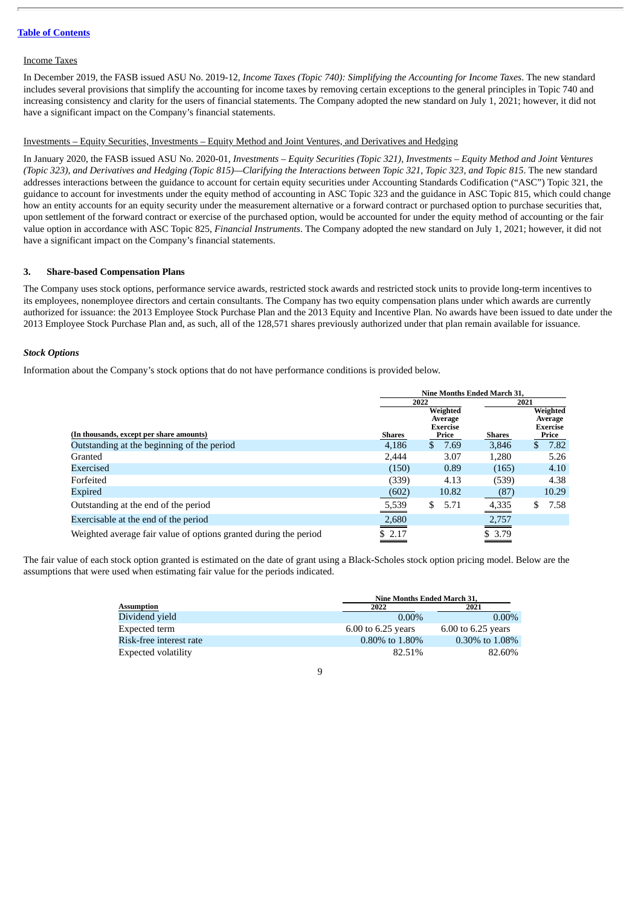#### Income Taxes

In December 2019, the FASB issued ASU No. 2019-12, *Income Taxes (Topic 740): Simplifying the Accounting for Income Taxes*. The new standard includes several provisions that simplify the accounting for income taxes by removing certain exceptions to the general principles in Topic 740 and increasing consistency and clarity for the users of financial statements. The Company adopted the new standard on July 1, 2021; however, it did not have a significant impact on the Company's financial statements.

# Investments – Equity Securities, Investments – Equity Method and Joint Ventures, and Derivatives and Hedging

In January 2020, the FASB issued ASU No. 2020-01, Investments - Equity Securities (Topic 321), Investments - Equity Method and Joint Ventures (Topic 323), and Derivatives and Hedging (Topic 815)-Clarifying the Interactions between Topic 321, Topic 323, and Topic 815. The new standard addresses interactions between the guidance to account for certain equity securities under Accounting Standards Codification ("ASC") Topic 321, the guidance to account for investments under the equity method of accounting in ASC Topic 323 and the guidance in ASC Topic 815, which could change how an entity accounts for an equity security under the measurement alternative or a forward contract or purchased option to purchase securities that, upon settlement of the forward contract or exercise of the purchased option, would be accounted for under the equity method of accounting or the fair value option in accordance with ASC Topic 825, *Financial Instruments*. The Company adopted the new standard on July 1, 2021; however, it did not have a significant impact on the Company's financial statements.

# **3. Share-based Compensation Plans**

The Company uses stock options, performance service awards, restricted stock awards and restricted stock units to provide long-term incentives to its employees, nonemployee directors and certain consultants. The Company has two equity compensation plans under which awards are currently authorized for issuance: the 2013 Employee Stock Purchase Plan and the 2013 Equity and Incentive Plan. No awards have been issued to date under the 2013 Employee Stock Purchase Plan and, as such, all of the 128,571 shares previously authorized under that plan remain available for issuance.

#### *Stock Options*

Information about the Company's stock options that do not have performance conditions is provided below.

|                                                                  | <b>Nine Months Ended March 31.</b> |                                                 |        |                                                 |  |
|------------------------------------------------------------------|------------------------------------|-------------------------------------------------|--------|-------------------------------------------------|--|
|                                                                  |                                    | 2022                                            | 2021   |                                                 |  |
| (In thousands, except per share amounts)                         | Shares                             | Weighted<br>Average<br><b>Exercise</b><br>Price | Shares | Weighted<br>Average<br><b>Exercise</b><br>Price |  |
| Outstanding at the beginning of the period                       | 4,186                              | 7.69<br>S.                                      | 3,846  | 7.82<br><sup>\$</sup>                           |  |
| Granted                                                          | 2.444                              | 3.07                                            | 1,280  | 5.26                                            |  |
| Exercised                                                        | (150)                              | 0.89                                            | (165)  | 4.10                                            |  |
| Forfeited                                                        | (339)                              | 4.13                                            | (539)  | 4.38                                            |  |
| Expired                                                          | (602)                              | 10.82                                           | (87)   | 10.29                                           |  |
| Outstanding at the end of the period                             | 5,539                              | \$<br>5.71                                      | 4,335  | 7.58<br>S.                                      |  |
| Exercisable at the end of the period                             | 2,680                              |                                                 | 2,757  |                                                 |  |
| Weighted average fair value of options granted during the period | \$2.17                             |                                                 | \$3.79 |                                                 |  |

The fair value of each stock option granted is estimated on the date of grant using a Black-Scholes stock option pricing model. Below are the assumptions that were used when estimating fair value for the periods indicated.

|                            |                    | Nine Months Ended March 31, |  |  |  |  |  |
|----------------------------|--------------------|-----------------------------|--|--|--|--|--|
| <b>Assumption</b>          | 2022               | 2021                        |  |  |  |  |  |
| Dividend vield             | $0.00\%$           | $0.00\%$                    |  |  |  |  |  |
| Expected term              | 6.00 to 6.25 years | 6.00 to 6.25 years          |  |  |  |  |  |
| Risk-free interest rate    | $0.80\%$ to 1.80%  | $0.30\%$ to 1.08%           |  |  |  |  |  |
| <b>Expected volatility</b> | 82.51%             | 82.60%                      |  |  |  |  |  |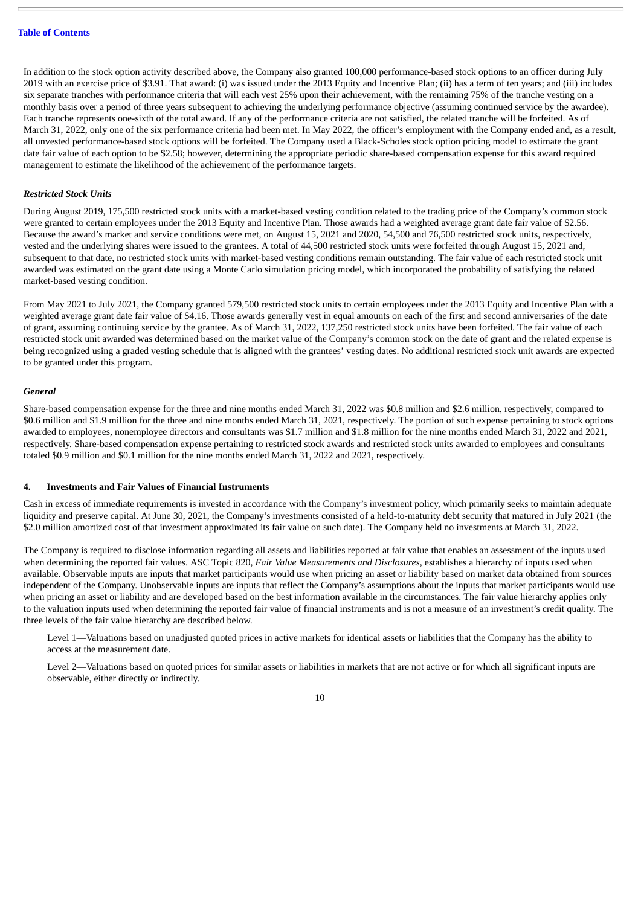In addition to the stock option activity described above, the Company also granted 100,000 performance-based stock options to an officer during July 2019 with an exercise price of \$3.91. That award: (i) was issued under the 2013 Equity and Incentive Plan; (ii) has a term of ten years; and (iii) includes six separate tranches with performance criteria that will each vest 25% upon their achievement, with the remaining 75% of the tranche vesting on a monthly basis over a period of three years subsequent to achieving the underlying performance objective (assuming continued service by the awardee). Each tranche represents one-sixth of the total award. If any of the performance criteria are not satisfied, the related tranche will be forfeited. As of March 31, 2022, only one of the six performance criteria had been met. In May 2022, the officer's employment with the Company ended and, as a result, all unvested performance-based stock options will be forfeited. The Company used a Black-Scholes stock option pricing model to estimate the grant date fair value of each option to be \$2.58; however, determining the appropriate periodic share-based compensation expense for this award required management to estimate the likelihood of the achievement of the performance targets.

# *Restricted Stock Units*

During August 2019, 175,500 restricted stock units with a market-based vesting condition related to the trading price of the Company's common stock were granted to certain employees under the 2013 Equity and Incentive Plan. Those awards had a weighted average grant date fair value of \$2.56. Because the award's market and service conditions were met, on August 15, 2021 and 2020, 54,500 and 76,500 restricted stock units, respectively, vested and the underlying shares were issued to the grantees. A total of 44,500 restricted stock units were forfeited through August 15, 2021 and, subsequent to that date, no restricted stock units with market-based vesting conditions remain outstanding. The fair value of each restricted stock unit awarded was estimated on the grant date using a Monte Carlo simulation pricing model, which incorporated the probability of satisfying the related market-based vesting condition.

From May 2021 to July 2021, the Company granted 579,500 restricted stock units to certain employees under the 2013 Equity and Incentive Plan with a weighted average grant date fair value of \$4.16. Those awards generally vest in equal amounts on each of the first and second anniversaries of the date of grant, assuming continuing service by the grantee. As of March 31, 2022, 137,250 restricted stock units have been forfeited. The fair value of each restricted stock unit awarded was determined based on the market value of the Company's common stock on the date of grant and the related expense is being recognized using a graded vesting schedule that is aligned with the grantees' vesting dates. No additional restricted stock unit awards are expected to be granted under this program.

#### *General*

Share-based compensation expense for the three and nine months ended March 31, 2022 was \$0.8 million and \$2.6 million, respectively, compared to \$0.6 million and \$1.9 million for the three and nine months ended March 31, 2021, respectively. The portion of such expense pertaining to stock options awarded to employees, nonemployee directors and consultants was \$1.7 million and \$1.8 million for the nine months ended March 31, 2022 and 2021, respectively. Share-based compensation expense pertaining to restricted stock awards and restricted stock units awarded to employees and consultants totaled \$0.9 million and \$0.1 million for the nine months ended March 31, 2022 and 2021, respectively.

#### **4. Investments and Fair Values of Financial Instruments**

Cash in excess of immediate requirements is invested in accordance with the Company's investment policy, which primarily seeks to maintain adequate liquidity and preserve capital. At June 30, 2021, the Company's investments consisted of a held-to-maturity debt security that matured in July 2021 (the \$2.0 million amortized cost of that investment approximated its fair value on such date). The Company held no investments at March 31, 2022.

The Company is required to disclose information regarding all assets and liabilities reported at fair value that enables an assessment of the inputs used when determining the reported fair values. ASC Topic 820, *Fair Value Measurements and Disclosures*, establishes a hierarchy of inputs used when available. Observable inputs are inputs that market participants would use when pricing an asset or liability based on market data obtained from sources independent of the Company. Unobservable inputs are inputs that reflect the Company's assumptions about the inputs that market participants would use when pricing an asset or liability and are developed based on the best information available in the circumstances. The fair value hierarchy applies only to the valuation inputs used when determining the reported fair value of financial instruments and is not a measure of an investment's credit quality. The three levels of the fair value hierarchy are described below.

Level 1—Valuations based on unadjusted quoted prices in active markets for identical assets or liabilities that the Company has the ability to access at the measurement date.

Level 2—Valuations based on quoted prices for similar assets or liabilities in markets that are not active or for which all significant inputs are observable, either directly or indirectly.

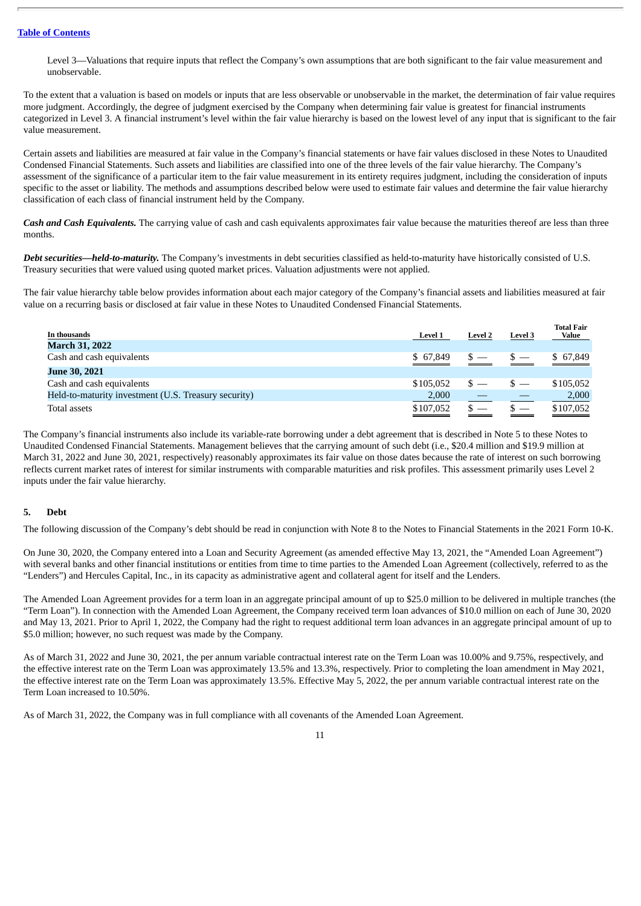Level 3—Valuations that require inputs that reflect the Company's own assumptions that are both significant to the fair value measurement and unobservable.

To the extent that a valuation is based on models or inputs that are less observable or unobservable in the market, the determination of fair value requires more judgment. Accordingly, the degree of judgment exercised by the Company when determining fair value is greatest for financial instruments categorized in Level 3. A financial instrument's level within the fair value hierarchy is based on the lowest level of any input that is significant to the fair value measurement.

Certain assets and liabilities are measured at fair value in the Company's financial statements or have fair values disclosed in these Notes to Unaudited Condensed Financial Statements. Such assets and liabilities are classified into one of the three levels of the fair value hierarchy. The Company's assessment of the significance of a particular item to the fair value measurement in its entirety requires judgment, including the consideration of inputs specific to the asset or liability. The methods and assumptions described below were used to estimate fair values and determine the fair value hierarchy classification of each class of financial instrument held by the Company.

*Cash and Cash Equivalents.* The carrying value of cash and cash equivalents approximates fair value because the maturities thereof are less than three months.

*Debt securities—held-to-maturity.* The Company's investments in debt securities classified as held-to-maturity have historically consisted of U.S. Treasury securities that were valued using quoted market prices. Valuation adjustments were not applied.

The fair value hierarchy table below provides information about each major category of the Company's financial assets and liabilities measured at fair value on a recurring basis or disclosed at fair value in these Notes to Unaudited Condensed Financial Statements.

| In thousands                                         | Level 1   | <b>Level 2</b> | <b>Level 3</b>                  | <b>Total Fair</b><br>Value |
|------------------------------------------------------|-----------|----------------|---------------------------------|----------------------------|
| <b>March 31, 2022</b>                                |           |                |                                 |                            |
| Cash and cash equivalents                            | \$67,849  |                |                                 | \$ 67,849                  |
| <b>June 30, 2021</b>                                 |           |                |                                 |                            |
| Cash and cash equivalents                            | \$105.052 |                |                                 | \$105,052                  |
| Held-to-maturity investment (U.S. Treasury security) | 2,000     |                |                                 | 2,000                      |
| Total assets                                         | \$107,052 |                | $\hspace{0.1mm}-\hspace{0.1mm}$ | \$107,052                  |

The Company's financial instruments also include its variable-rate borrowing under a debt agreement that is described in Note 5 to these Notes to Unaudited Condensed Financial Statements. Management believes that the carrying amount of such debt (i.e., \$20.4 million and \$19.9 million at March 31, 2022 and June 30, 2021, respectively) reasonably approximates its fair value on those dates because the rate of interest on such borrowing reflects current market rates of interest for similar instruments with comparable maturities and risk profiles. This assessment primarily uses Level 2 inputs under the fair value hierarchy.

# **5. Debt**

The following discussion of the Company's debt should be read in conjunction with Note 8 to the Notes to Financial Statements in the 2021 Form 10-K.

On June 30, 2020, the Company entered into a Loan and Security Agreement (as amended effective May 13, 2021, the "Amended Loan Agreement") with several banks and other financial institutions or entities from time to time parties to the Amended Loan Agreement (collectively, referred to as the "Lenders") and Hercules Capital, Inc., in its capacity as administrative agent and collateral agent for itself and the Lenders.

The Amended Loan Agreement provides for a term loan in an aggregate principal amount of up to \$25.0 million to be delivered in multiple tranches (the "Term Loan"). In connection with the Amended Loan Agreement, the Company received term loan advances of \$10.0 million on each of June 30, 2020 and May 13, 2021. Prior to April 1, 2022, the Company had the right to request additional term loan advances in an aggregate principal amount of up to \$5.0 million; however, no such request was made by the Company.

As of March 31, 2022 and June 30, 2021, the per annum variable contractual interest rate on the Term Loan was 10.00% and 9.75%, respectively, and the effective interest rate on the Term Loan was approximately 13.5% and 13.3%, respectively. Prior to completing the loan amendment in May 2021, the effective interest rate on the Term Loan was approximately 13.5%. Effective May 5, 2022, the per annum variable contractual interest rate on the Term Loan increased to 10.50%.

As of March 31, 2022, the Company was in full compliance with all covenants of the Amended Loan Agreement.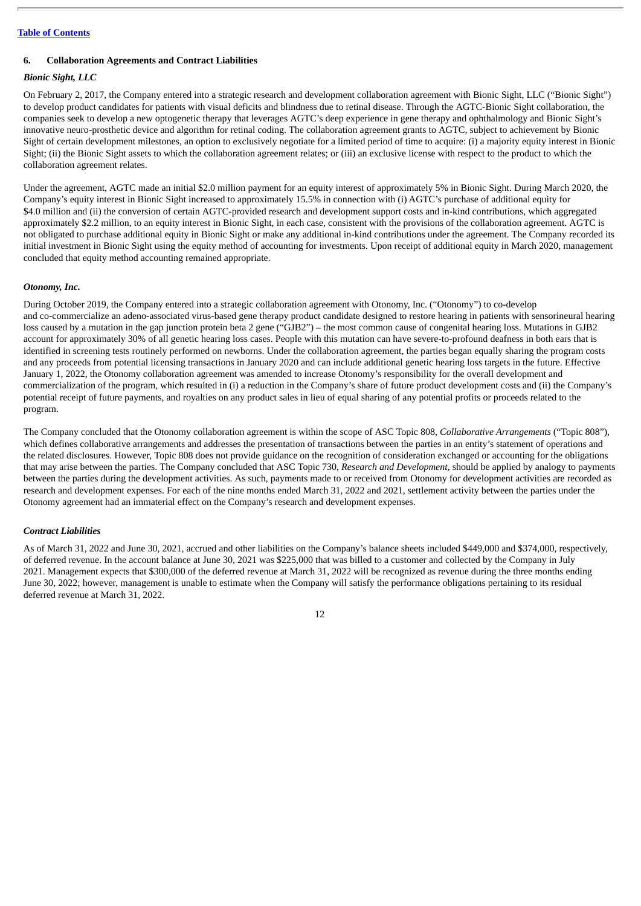## **6. Collaboration Agreements and Contract Liabilities**

### *Bionic Sight, LLC*

On February 2, 2017, the Company entered into a strategic research and development collaboration agreement with Bionic Sight, LLC ("Bionic Sight") to develop product candidates for patients with visual deficits and blindness due to retinal disease. Through the AGTC-Bionic Sight collaboration, the companies seek to develop a new optogenetic therapy that leverages AGTC's deep experience in gene therapy and ophthalmology and Bionic Sight's innovative neuro-prosthetic device and algorithm for retinal coding. The collaboration agreement grants to AGTC, subject to achievement by Bionic Sight of certain development milestones, an option to exclusively negotiate for a limited period of time to acquire: (i) a majority equity interest in Bionic Sight; (ii) the Bionic Sight assets to which the collaboration agreement relates; or (iii) an exclusive license with respect to the product to which the collaboration agreement relates.

Under the agreement, AGTC made an initial \$2.0 million payment for an equity interest of approximately 5% in Bionic Sight. During March 2020, the Company's equity interest in Bionic Sight increased to approximately 15.5% in connection with (i) AGTC's purchase of additional equity for \$4.0 million and (ii) the conversion of certain AGTC-provided research and development support costs and in-kind contributions, which aggregated approximately \$2.2 million, to an equity interest in Bionic Sight, in each case, consistent with the provisions of the collaboration agreement. AGTC is not obligated to purchase additional equity in Bionic Sight or make any additional in-kind contributions under the agreement. The Company recorded its initial investment in Bionic Sight using the equity method of accounting for investments. Upon receipt of additional equity in March 2020, management concluded that equity method accounting remained appropriate.

#### *Otonomy, Inc.*

During October 2019, the Company entered into a strategic collaboration agreement with Otonomy, Inc. ("Otonomy") to co-develop and co-commercialize an adeno-associated virus-based gene therapy product candidate designed to restore hearing in patients with sensorineural hearing loss caused by a mutation in the gap junction protein beta 2 gene ("GJB2") – the most common cause of congenital hearing loss. Mutations in GJB2 account for approximately 30% of all genetic hearing loss cases. People with this mutation can have severe-to-profound deafness in both ears that is identified in screening tests routinely performed on newborns. Under the collaboration agreement, the parties began equally sharing the program costs and any proceeds from potential licensing transactions in January 2020 and can include additional genetic hearing loss targets in the future. Effective January 1, 2022, the Otonomy collaboration agreement was amended to increase Otonomy's responsibility for the overall development and commercialization of the program, which resulted in (i) a reduction in the Company's share of future product development costs and (ii) the Company's potential receipt of future payments, and royalties on any product sales in lieu of equal sharing of any potential profits or proceeds related to the program.

The Company concluded that the Otonomy collaboration agreement is within the scope of ASC Topic 808, *Collaborative Arrangements* ("Topic 808"), which defines collaborative arrangements and addresses the presentation of transactions between the parties in an entity's statement of operations and the related disclosures. However, Topic 808 does not provide guidance on the recognition of consideration exchanged or accounting for the obligations that may arise between the parties. The Company concluded that ASC Topic 730, *Research and Development,* should be applied by analogy to payments between the parties during the development activities. As such, payments made to or received from Otonomy for development activities are recorded as research and development expenses. For each of the nine months ended March 31, 2022 and 2021, settlement activity between the parties under the Otonomy agreement had an immaterial effect on the Company's research and development expenses.

# *Contract Liabilities*

As of March 31, 2022 and June 30, 2021, accrued and other liabilities on the Company's balance sheets included \$449,000 and \$374,000, respectively, of deferred revenue. In the account balance at June 30, 2021 was \$225,000 that was billed to a customer and collected by the Company in July 2021. Management expects that \$300,000 of the deferred revenue at March 31, 2022 will be recognized as revenue during the three months ending June 30, 2022; however, management is unable to estimate when the Company will satisfy the performance obligations pertaining to its residual deferred revenue at March 31, 2022.

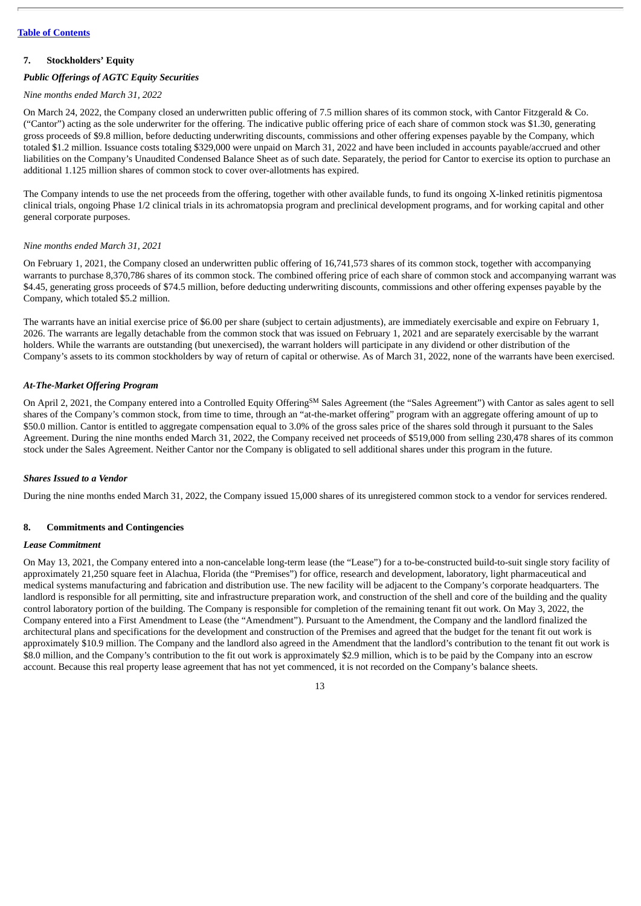# **7. Stockholders' Equity**

# *Public Offerings of AGTC Equity Securities*

#### *Nine months ended March 31, 2022*

On March 24, 2022, the Company closed an underwritten public offering of 7.5 million shares of its common stock, with Cantor Fitzgerald & Co. ("Cantor") acting as the sole underwriter for the offering. The indicative public offering price of each share of common stock was \$1.30, generating gross proceeds of \$9.8 million, before deducting underwriting discounts, commissions and other offering expenses payable by the Company, which totaled \$1.2 million. Issuance costs totaling \$329,000 were unpaid on March 31, 2022 and have been included in accounts payable/accrued and other liabilities on the Company's Unaudited Condensed Balance Sheet as of such date. Separately, the period for Cantor to exercise its option to purchase an additional 1.125 million shares of common stock to cover over-allotments has expired.

The Company intends to use the net proceeds from the offering, together with other available funds, to fund its ongoing X-linked retinitis pigmentosa clinical trials, ongoing Phase 1/2 clinical trials in its achromatopsia program and preclinical development programs, and for working capital and other general corporate purposes.

#### *Nine months ended March 31, 2021*

On February 1, 2021, the Company closed an underwritten public offering of 16,741,573 shares of its common stock, together with accompanying warrants to purchase 8,370,786 shares of its common stock. The combined offering price of each share of common stock and accompanying warrant was \$4.45, generating gross proceeds of \$74.5 million, before deducting underwriting discounts, commissions and other offering expenses payable by the Company, which totaled \$5.2 million.

The warrants have an initial exercise price of \$6.00 per share (subject to certain adjustments), are immediately exercisable and expire on February 1, 2026. The warrants are legally detachable from the common stock that was issued on February 1, 2021 and are separately exercisable by the warrant holders. While the warrants are outstanding (but unexercised), the warrant holders will participate in any dividend or other distribution of the Company's assets to its common stockholders by way of return of capital or otherwise. As of March 31, 2022, none of the warrants have been exercised.

# *At-The-Market Offering Program*

On April 2, 2021, the Company entered into a Controlled Equity Offering<sup>SM</sup> Sales Agreement (the "Sales Agreement") with Cantor as sales agent to sell shares of the Company's common stock, from time to time, through an "at-the-market offering" program with an aggregate offering amount of up to \$50.0 million. Cantor is entitled to aggregate compensation equal to 3.0% of the gross sales price of the shares sold through it pursuant to the Sales Agreement. During the nine months ended March 31, 2022, the Company received net proceeds of \$519,000 from selling 230,478 shares of its common stock under the Sales Agreement. Neither Cantor nor the Company is obligated to sell additional shares under this program in the future.

#### *Shares Issued to a Vendor*

During the nine months ended March 31, 2022, the Company issued 15,000 shares of its unregistered common stock to a vendor for services rendered.

# **8. Commitments and Contingencies**

#### *Lease Commitment*

On May 13, 2021, the Company entered into a non-cancelable long-term lease (the "Lease") for a to-be-constructed build-to-suit single story facility of approximately 21,250 square feet in Alachua, Florida (the "Premises") for office, research and development, laboratory, light pharmaceutical and medical systems manufacturing and fabrication and distribution use. The new facility will be adjacent to the Company's corporate headquarters. The landlord is responsible for all permitting, site and infrastructure preparation work, and construction of the shell and core of the building and the quality control laboratory portion of the building. The Company is responsible for completion of the remaining tenant fit out work. On May 3, 2022, the Company entered into a First Amendment to Lease (the "Amendment"). Pursuant to the Amendment, the Company and the landlord finalized the architectural plans and specifications for the development and construction of the Premises and agreed that the budget for the tenant fit out work is approximately \$10.9 million. The Company and the landlord also agreed in the Amendment that the landlord's contribution to the tenant fit out work is \$8.0 million, and the Company's contribution to the fit out work is approximately \$2.9 million, which is to be paid by the Company into an escrow account. Because this real property lease agreement that has not yet commenced, it is not recorded on the Company's balance sheets.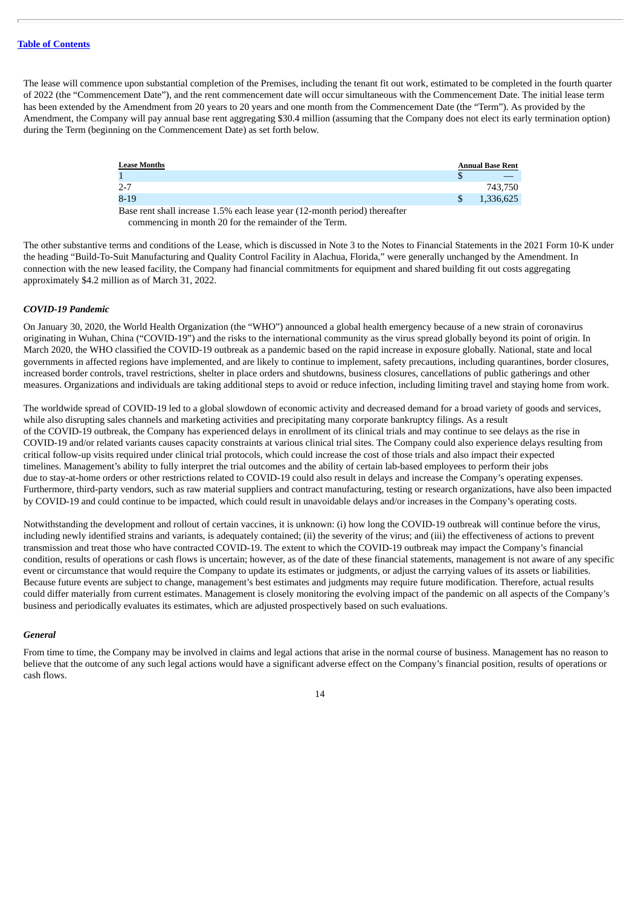The lease will commence upon substantial completion of the Premises, including the tenant fit out work, estimated to be completed in the fourth quarter of 2022 (the "Commencement Date"), and the rent commencement date will occur simultaneous with the Commencement Date. The initial lease term has been extended by the Amendment from 20 years to 20 years and one month from the Commencement Date (the "Term"). As provided by the Amendment, the Company will pay annual base rent aggregating \$30.4 million (assuming that the Company does not elect its early termination option) during the Term (beginning on the Commencement Date) as set forth below.

| <b>Lease Months</b>                                                        | Annual Base Rent |
|----------------------------------------------------------------------------|------------------|
|                                                                            |                  |
| $2 - 7$                                                                    | 743.750          |
| $8 - 19$                                                                   | 1.336.625        |
| Base rent shall increase 1.5% each lease year (12-month period) thereafter |                  |

Base rent shall increase 1.5% each lease year (12-month period) thereafter commencing in month 20 for the remainder of the Term.

The other substantive terms and conditions of the Lease, which is discussed in Note 3 to the Notes to Financial Statements in the 2021 Form 10-K under the heading "Build-To-Suit Manufacturing and Quality Control Facility in Alachua, Florida," were generally unchanged by the Amendment. In connection with the new leased facility, the Company had financial commitments for equipment and shared building fit out costs aggregating approximately \$4.2 million as of March 31, 2022.

#### *COVID-19 Pandemic*

On January 30, 2020, the World Health Organization (the "WHO") announced a global health emergency because of a new strain of coronavirus originating in Wuhan, China ("COVID-19") and the risks to the international community as the virus spread globally beyond its point of origin. In March 2020, the WHO classified the COVID-19 outbreak as a pandemic based on the rapid increase in exposure globally. National, state and local governments in affected regions have implemented, and are likely to continue to implement, safety precautions, including quarantines, border closures, increased border controls, travel restrictions, shelter in place orders and shutdowns, business closures, cancellations of public gatherings and other measures. Organizations and individuals are taking additional steps to avoid or reduce infection, including limiting travel and staying home from work.

The worldwide spread of COVID-19 led to a global slowdown of economic activity and decreased demand for a broad variety of goods and services, while also disrupting sales channels and marketing activities and precipitating many corporate bankruptcy filings. As a result of the COVID-19 outbreak, the Company has experienced delays in enrollment of its clinical trials and may continue to see delays as the rise in COVID-19 and/or related variants causes capacity constraints at various clinical trial sites. The Company could also experience delays resulting from critical follow-up visits required under clinical trial protocols, which could increase the cost of those trials and also impact their expected timelines. Management's ability to fully interpret the trial outcomes and the ability of certain lab-based employees to perform their jobs due to stay-at-home orders or other restrictions related to COVID-19 could also result in delays and increase the Company's operating expenses. Furthermore, third-party vendors, such as raw material suppliers and contract manufacturing, testing or research organizations, have also been impacted by COVID-19 and could continue to be impacted, which could result in unavoidable delays and/or increases in the Company's operating costs.

Notwithstanding the development and rollout of certain vaccines, it is unknown: (i) how long the COVID-19 outbreak will continue before the virus, including newly identified strains and variants, is adequately contained; (ii) the severity of the virus; and (iii) the effectiveness of actions to prevent transmission and treat those who have contracted COVID-19. The extent to which the COVID-19 outbreak may impact the Company's financial condition, results of operations or cash flows is uncertain; however, as of the date of these financial statements, management is not aware of any specific event or circumstance that would require the Company to update its estimates or judgments, or adjust the carrying values of its assets or liabilities. Because future events are subject to change, management's best estimates and judgments may require future modification. Therefore, actual results could differ materially from current estimates. Management is closely monitoring the evolving impact of the pandemic on all aspects of the Company's business and periodically evaluates its estimates, which are adjusted prospectively based on such evaluations.

#### *General*

From time to time, the Company may be involved in claims and legal actions that arise in the normal course of business. Management has no reason to believe that the outcome of any such legal actions would have a significant adverse effect on the Company's financial position, results of operations or cash flows.

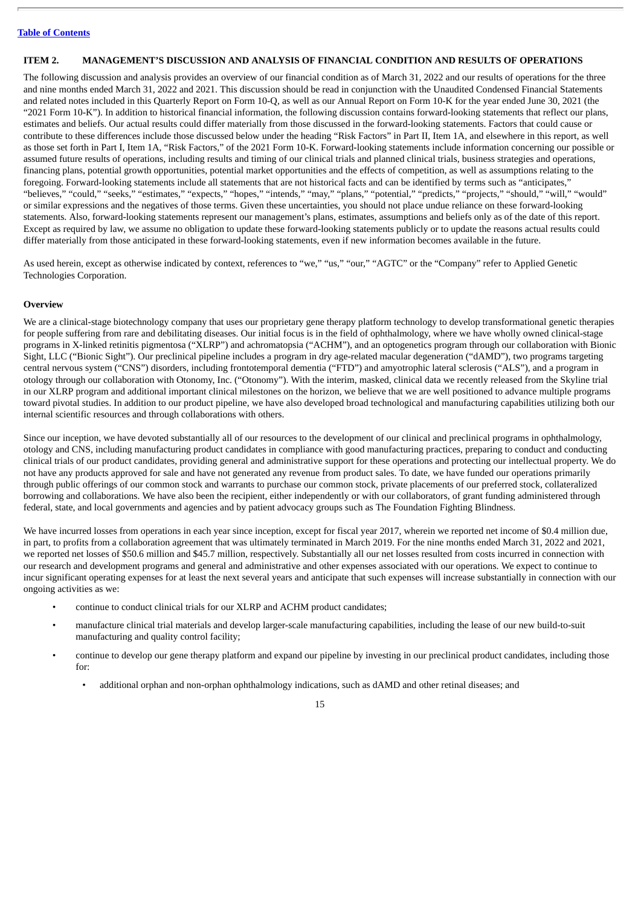# <span id="page-15-0"></span>**ITEM 2. MANAGEMENT'S DISCUSSION AND ANALYSIS OF FINANCIAL CONDITION AND RESULTS OF OPERATIONS**

The following discussion and analysis provides an overview of our financial condition as of March 31, 2022 and our results of operations for the three and nine months ended March 31, 2022 and 2021. This discussion should be read in conjunction with the Unaudited Condensed Financial Statements and related notes included in this Quarterly Report on Form 10-Q, as well as our Annual Report on Form 10-K for the year ended June 30, 2021 (the "2021 Form 10-K"). In addition to historical financial information, the following discussion contains forward-looking statements that reflect our plans, estimates and beliefs. Our actual results could differ materially from those discussed in the forward-looking statements. Factors that could cause or contribute to these differences include those discussed below under the heading "Risk Factors" in Part II, Item 1A, and elsewhere in this report, as well as those set forth in Part I, Item 1A, "Risk Factors," of the 2021 Form 10-K. Forward-looking statements include information concerning our possible or assumed future results of operations, including results and timing of our clinical trials and planned clinical trials, business strategies and operations, financing plans, potential growth opportunities, potential market opportunities and the effects of competition, as well as assumptions relating to the foregoing. Forward-looking statements include all statements that are not historical facts and can be identified by terms such as "anticipates," "believes," "could," "seeks," "estimates," "expects," "hopes," "intends," "may," "plans," "potential," "predicts," "projects," "should," "will," "would" or similar expressions and the negatives of those terms. Given these uncertainties, you should not place undue reliance on these forward-looking statements. Also, forward-looking statements represent our management's plans, estimates, assumptions and beliefs only as of the date of this report. Except as required by law, we assume no obligation to update these forward-looking statements publicly or to update the reasons actual results could differ materially from those anticipated in these forward-looking statements, even if new information becomes available in the future.

As used herein, except as otherwise indicated by context, references to "we," "us," "Our," "AGTC" or the "Company" refer to Applied Genetic Technologies Corporation.

#### **Overview**

We are a clinical-stage biotechnology company that uses our proprietary gene therapy platform technology to develop transformational genetic therapies for people suffering from rare and debilitating diseases. Our initial focus is in the field of ophthalmology, where we have wholly owned clinical-stage programs in X-linked retinitis pigmentosa ("XLRP") and achromatopsia ("ACHM"), and an optogenetics program through our collaboration with Bionic Sight, LLC ("Bionic Sight"). Our preclinical pipeline includes a program in dry age-related macular degeneration ("dAMD"), two programs targeting central nervous system ("CNS") disorders, including frontotemporal dementia ("FTD") and amyotrophic lateral sclerosis ("ALS"), and a program in otology through our collaboration with Otonomy, Inc. ("Otonomy"). With the interim, masked, clinical data we recently released from the Skyline trial in our XLRP program and additional important clinical milestones on the horizon, we believe that we are well positioned to advance multiple programs toward pivotal studies. In addition to our product pipeline, we have also developed broad technological and manufacturing capabilities utilizing both our internal scientific resources and through collaborations with others.

Since our inception, we have devoted substantially all of our resources to the development of our clinical and preclinical programs in ophthalmology, otology and CNS, including manufacturing product candidates in compliance with good manufacturing practices, preparing to conduct and conducting clinical trials of our product candidates, providing general and administrative support for these operations and protecting our intellectual property. We do not have any products approved for sale and have not generated any revenue from product sales. To date, we have funded our operations primarily through public offerings of our common stock and warrants to purchase our common stock, private placements of our preferred stock, collateralized borrowing and collaborations. We have also been the recipient, either independently or with our collaborators, of grant funding administered through federal, state, and local governments and agencies and by patient advocacy groups such as The Foundation Fighting Blindness.

We have incurred losses from operations in each year since inception, except for fiscal year 2017, wherein we reported net income of \$0.4 million due, in part, to profits from a collaboration agreement that was ultimately terminated in March 2019. For the nine months ended March 31, 2022 and 2021, we reported net losses of \$50.6 million and \$45.7 million, respectively. Substantially all our net losses resulted from costs incurred in connection with our research and development programs and general and administrative and other expenses associated with our operations. We expect to continue to incur significant operating expenses for at least the next several years and anticipate that such expenses will increase substantially in connection with our ongoing activities as we:

- continue to conduct clinical trials for our XLRP and ACHM product candidates;
- manufacture clinical trial materials and develop larger-scale manufacturing capabilities, including the lease of our new build-to-suit manufacturing and quality control facility;
- continue to develop our gene therapy platform and expand our pipeline by investing in our preclinical product candidates, including those for:
	- additional orphan and non-orphan ophthalmology indications, such as dAMD and other retinal diseases; and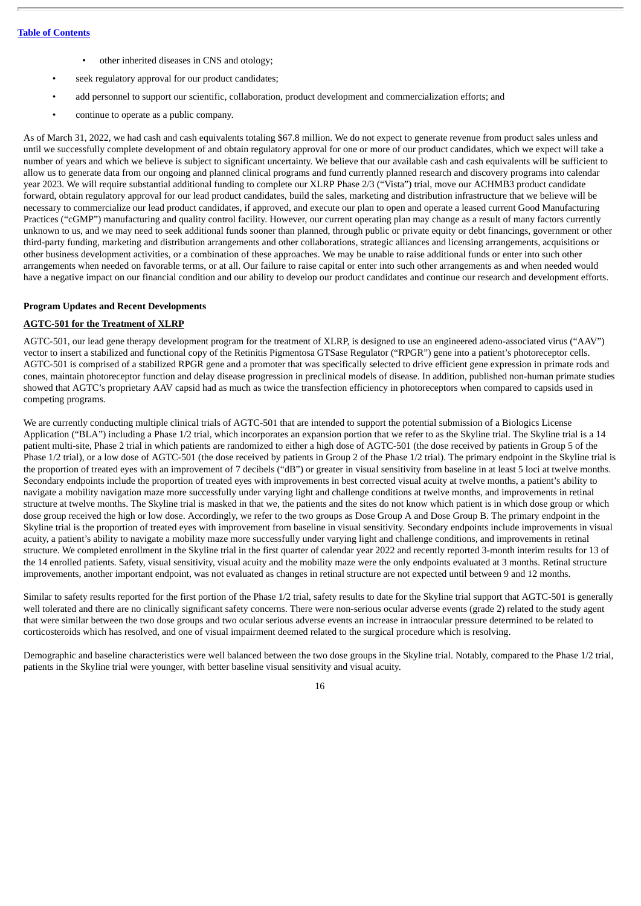- other inherited diseases in CNS and otology;
- seek regulatory approval for our product candidates;
- add personnel to support our scientific, collaboration, product development and commercialization efforts; and
- continue to operate as a public company.

As of March 31, 2022, we had cash and cash equivalents totaling \$67.8 million. We do not expect to generate revenue from product sales unless and until we successfully complete development of and obtain regulatory approval for one or more of our product candidates, which we expect will take a number of years and which we believe is subject to significant uncertainty. We believe that our available cash and cash equivalents will be sufficient to allow us to generate data from our ongoing and planned clinical programs and fund currently planned research and discovery programs into calendar year 2023. We will require substantial additional funding to complete our XLRP Phase 2/3 ("Vista") trial, move our ACHMB3 product candidate forward, obtain regulatory approval for our lead product candidates, build the sales, marketing and distribution infrastructure that we believe will be necessary to commercialize our lead product candidates, if approved, and execute our plan to open and operate a leased current Good Manufacturing Practices ("cGMP") manufacturing and quality control facility. However, our current operating plan may change as a result of many factors currently unknown to us, and we may need to seek additional funds sooner than planned, through public or private equity or debt financings, government or other third-party funding, marketing and distribution arrangements and other collaborations, strategic alliances and licensing arrangements, acquisitions or other business development activities, or a combination of these approaches. We may be unable to raise additional funds or enter into such other arrangements when needed on favorable terms, or at all. Our failure to raise capital or enter into such other arrangements as and when needed would have a negative impact on our financial condition and our ability to develop our product candidates and continue our research and development efforts.

#### **Program Updates and Recent Developments**

#### **AGTC-501 for the Treatment of XLRP**

AGTC-501, our lead gene therapy development program for the treatment of XLRP, is designed to use an engineered adeno-associated virus ("AAV") vector to insert a stabilized and functional copy of the Retinitis Pigmentosa GTSase Regulator ("RPGR") gene into a patient's photoreceptor cells. AGTC-501 is comprised of a stabilized RPGR gene and a promoter that was specifically selected to drive efficient gene expression in primate rods and cones, maintain photoreceptor function and delay disease progression in preclinical models of disease. In addition, published non-human primate studies showed that AGTC's proprietary AAV capsid had as much as twice the transfection efficiency in photoreceptors when compared to capsids used in competing programs.

We are currently conducting multiple clinical trials of AGTC-501 that are intended to support the potential submission of a Biologics License Application ("BLA") including a Phase 1/2 trial, which incorporates an expansion portion that we refer to as the Skyline trial. The Skyline trial is a 14 patient multi-site, Phase 2 trial in which patients are randomized to either a high dose of AGTC-501 (the dose received by patients in Group 5 of the Phase 1/2 trial), or a low dose of AGTC-501 (the dose received by patients in Group 2 of the Phase 1/2 trial). The primary endpoint in the Skyline trial is the proportion of treated eyes with an improvement of 7 decibels ("dB") or greater in visual sensitivity from baseline in at least 5 loci at twelve months. Secondary endpoints include the proportion of treated eyes with improvements in best corrected visual acuity at twelve months, a patient's ability to navigate a mobility navigation maze more successfully under varying light and challenge conditions at twelve months, and improvements in retinal structure at twelve months. The Skyline trial is masked in that we, the patients and the sites do not know which patient is in which dose group or which dose group received the high or low dose. Accordingly, we refer to the two groups as Dose Group A and Dose Group B. The primary endpoint in the Skyline trial is the proportion of treated eyes with improvement from baseline in visual sensitivity. Secondary endpoints include improvements in visual acuity, a patient's ability to navigate a mobility maze more successfully under varying light and challenge conditions, and improvements in retinal structure. We completed enrollment in the Skyline trial in the first quarter of calendar year 2022 and recently reported 3-month interim results for 13 of the 14 enrolled patients. Safety, visual sensitivity, visual acuity and the mobility maze were the only endpoints evaluated at 3 months. Retinal structure improvements, another important endpoint, was not evaluated as changes in retinal structure are not expected until between 9 and 12 months.

Similar to safety results reported for the first portion of the Phase 1/2 trial, safety results to date for the Skyline trial support that AGTC-501 is generally well tolerated and there are no clinically significant safety concerns. There were non-serious ocular adverse events (grade 2) related to the study agent that were similar between the two dose groups and two ocular serious adverse events an increase in intraocular pressure determined to be related to corticosteroids which has resolved, and one of visual impairment deemed related to the surgical procedure which is resolving.

Demographic and baseline characteristics were well balanced between the two dose groups in the Skyline trial. Notably, compared to the Phase 1/2 trial, patients in the Skyline trial were younger, with better baseline visual sensitivity and visual acuity.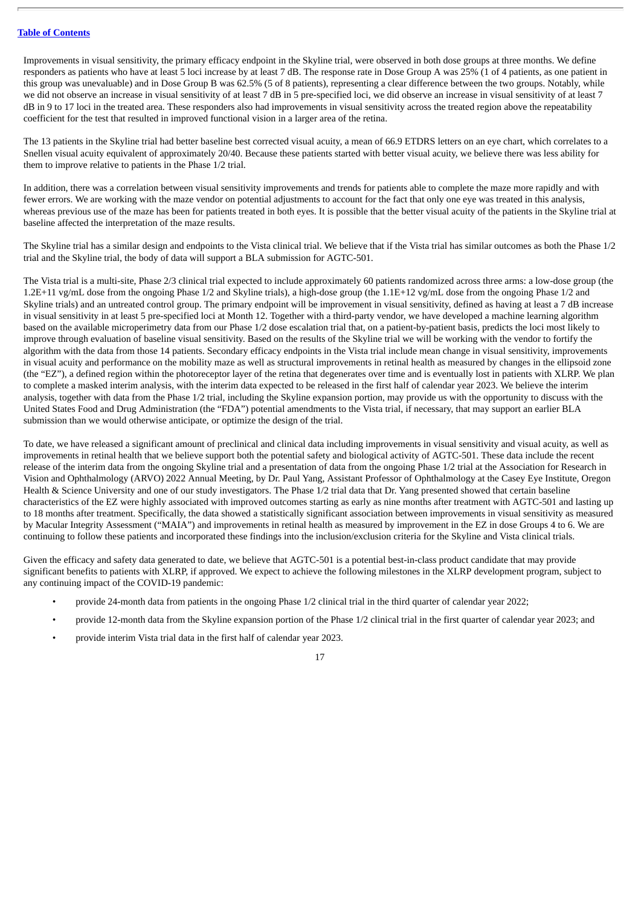Improvements in visual sensitivity, the primary efficacy endpoint in the Skyline trial, were observed in both dose groups at three months. We define responders as patients who have at least 5 loci increase by at least 7 dB. The response rate in Dose Group A was 25% (1 of 4 patients, as one patient in this group was unevaluable) and in Dose Group B was 62.5% (5 of 8 patients), representing a clear difference between the two groups. Notably, while we did not observe an increase in visual sensitivity of at least 7 dB in 5 pre-specified loci, we did observe an increase in visual sensitivity of at least 7 dB in 9 to 17 loci in the treated area. These responders also had improvements in visual sensitivity across the treated region above the repeatability coefficient for the test that resulted in improved functional vision in a larger area of the retina.

The 13 patients in the Skyline trial had better baseline best corrected visual acuity, a mean of 66.9 ETDRS letters on an eye chart, which correlates to a Snellen visual acuity equivalent of approximately 20/40. Because these patients started with better visual acuity, we believe there was less ability for them to improve relative to patients in the Phase 1/2 trial.

In addition, there was a correlation between visual sensitivity improvements and trends for patients able to complete the maze more rapidly and with fewer errors. We are working with the maze vendor on potential adjustments to account for the fact that only one eve was treated in this analysis. whereas previous use of the maze has been for patients treated in both eyes. It is possible that the better visual acuity of the patients in the Skyline trial at baseline affected the interpretation of the maze results.

The Skyline trial has a similar design and endpoints to the Vista clinical trial. We believe that if the Vista trial has similar outcomes as both the Phase 1/2 trial and the Skyline trial, the body of data will support a BLA submission for AGTC-501.

The Vista trial is a multi-site, Phase 2/3 clinical trial expected to include approximately 60 patients randomized across three arms: a low-dose group (the 1.2E+11 vg/mL dose from the ongoing Phase 1/2 and Skyline trials), a high-dose group (the 1.1E+12 vg/mL dose from the ongoing Phase 1/2 and Skyline trials) and an untreated control group. The primary endpoint will be improvement in visual sensitivity, defined as having at least a 7 dB increase in visual sensitivity in at least 5 pre-specified loci at Month 12. Together with a third-party vendor, we have developed a machine learning algorithm based on the available microperimetry data from our Phase 1/2 dose escalation trial that, on a patient-by-patient basis, predicts the loci most likely to improve through evaluation of baseline visual sensitivity. Based on the results of the Skyline trial we will be working with the vendor to fortify the algorithm with the data from those 14 patients. Secondary efficacy endpoints in the Vista trial include mean change in visual sensitivity, improvements in visual acuity and performance on the mobility maze as well as structural improvements in retinal health as measured by changes in the ellipsoid zone (the "EZ"), a defined region within the photoreceptor layer of the retina that degenerates over time and is eventually lost in patients with XLRP. We plan to complete a masked interim analysis, with the interim data expected to be released in the first half of calendar year 2023. We believe the interim analysis, together with data from the Phase 1/2 trial, including the Skyline expansion portion, may provide us with the opportunity to discuss with the United States Food and Drug Administration (the "FDA") potential amendments to the Vista trial, if necessary, that may support an earlier BLA submission than we would otherwise anticipate, or optimize the design of the trial.

To date, we have released a significant amount of preclinical and clinical data including improvements in visual sensitivity and visual acuity, as well as improvements in retinal health that we believe support both the potential safety and biological activity of AGTC-501. These data include the recent release of the interim data from the ongoing Skyline trial and a presentation of data from the ongoing Phase 1/2 trial at the Association for Research in Vision and Ophthalmology (ARVO) 2022 Annual Meeting, by Dr. Paul Yang, Assistant Professor of Ophthalmology at the Casey Eye Institute, Oregon Health & Science University and one of our study investigators. The Phase 1/2 trial data that Dr. Yang presented showed that certain baseline characteristics of the EZ were highly associated with improved outcomes starting as early as nine months after treatment with AGTC-501 and lasting up to 18 months after treatment. Specifically, the data showed a statistically significant association between improvements in visual sensitivity as measured by Macular Integrity Assessment ("MAIA") and improvements in retinal health as measured by improvement in the EZ in dose Groups 4 to 6. We are continuing to follow these patients and incorporated these findings into the inclusion/exclusion criteria for the Skyline and Vista clinical trials.

Given the efficacy and safety data generated to date, we believe that AGTC-501 is a potential best-in-class product candidate that may provide significant benefits to patients with XLRP, if approved. We expect to achieve the following milestones in the XLRP development program, subject to any continuing impact of the COVID-19 pandemic:

- provide 24-month data from patients in the ongoing Phase 1/2 clinical trial in the third quarter of calendar year 2022;
- provide 12-month data from the Skyline expansion portion of the Phase 1/2 clinical trial in the first quarter of calendar year 2023; and
- provide interim Vista trial data in the first half of calendar year 2023.

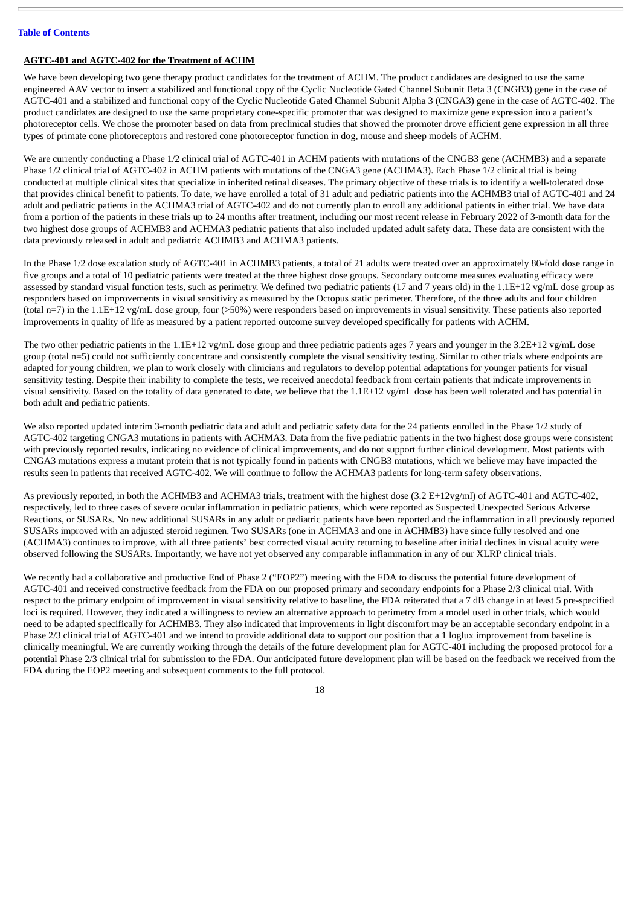# **AGTC-401 and AGTC-402 for the Treatment of ACHM**

We have been developing two gene therapy product candidates for the treatment of ACHM. The product candidates are designed to use the same engineered AAV vector to insert a stabilized and functional copy of the Cyclic Nucleotide Gated Channel Subunit Beta 3 (CNGB3) gene in the case of AGTC-401 and a stabilized and functional copy of the Cyclic Nucleotide Gated Channel Subunit Alpha 3 (CNGA3) gene in the case of AGTC-402. The product candidates are designed to use the same proprietary cone-specific promoter that was designed to maximize gene expression into a patient's photoreceptor cells. We chose the promoter based on data from preclinical studies that showed the promoter drove efficient gene expression in all three types of primate cone photoreceptors and restored cone photoreceptor function in dog, mouse and sheep models of ACHM.

We are currently conducting a Phase 1/2 clinical trial of AGTC-401 in ACHM patients with mutations of the CNGB3 gene (ACHMB3) and a separate Phase 1/2 clinical trial of AGTC-402 in ACHM patients with mutations of the CNGA3 gene (ACHMA3). Each Phase 1/2 clinical trial is being conducted at multiple clinical sites that specialize in inherited retinal diseases. The primary objective of these trials is to identify a well-tolerated dose that provides clinical benefit to patients. To date, we have enrolled a total of 31 adult and pediatric patients into the ACHMB3 trial of AGTC-401 and 24 adult and pediatric patients in the ACHMA3 trial of AGTC-402 and do not currently plan to enroll any additional patients in either trial. We have data from a portion of the patients in these trials up to 24 months after treatment, including our most recent release in February 2022 of 3-month data for the two highest dose groups of ACHMB3 and ACHMA3 pediatric patients that also included updated adult safety data. These data are consistent with the data previously released in adult and pediatric ACHMB3 and ACHMA3 patients.

In the Phase 1/2 dose escalation study of AGTC-401 in ACHMB3 patients, a total of 21 adults were treated over an approximately 80-fold dose range in five groups and a total of 10 pediatric patients were treated at the three highest dose groups. Secondary outcome measures evaluating efficacy were assessed by standard visual function tests, such as perimetry. We defined two pediatric patients (17 and 7 years old) in the 1.1E+12 vg/mL dose group as responders based on improvements in visual sensitivity as measured by the Octopus static perimeter. Therefore, of the three adults and four children (total n=7) in the 1.1E+12 vg/mL dose group, four (>50%) were responders based on improvements in visual sensitivity. These patients also reported improvements in quality of life as measured by a patient reported outcome survey developed specifically for patients with ACHM.

The two other pediatric patients in the 1.1E+12 vg/mL dose group and three pediatric patients ages 7 years and younger in the 3.2E+12 vg/mL dose group (total n=5) could not sufficiently concentrate and consistently complete the visual sensitivity testing. Similar to other trials where endpoints are adapted for young children, we plan to work closely with clinicians and regulators to develop potential adaptations for younger patients for visual sensitivity testing. Despite their inability to complete the tests, we received anecdotal feedback from certain patients that indicate improvements in visual sensitivity. Based on the totality of data generated to date, we believe that the 1.1E+12 vg/mL dose has been well tolerated and has potential in both adult and pediatric patients.

We also reported updated interim 3-month pediatric data and adult and pediatric safety data for the 24 patients enrolled in the Phase 1/2 study of AGTC-402 targeting CNGA3 mutations in patients with ACHMA3. Data from the five pediatric patients in the two highest dose groups were consistent with previously reported results, indicating no evidence of clinical improvements, and do not support further clinical development. Most patients with CNGA3 mutations express a mutant protein that is not typically found in patients with CNGB3 mutations, which we believe may have impacted the results seen in patients that received AGTC-402. We will continue to follow the ACHMA3 patients for long-term safety observations.

As previously reported, in both the ACHMB3 and ACHMA3 trials, treatment with the highest dose (3.2 E+12vg/ml) of AGTC-401 and AGTC-402, respectively, led to three cases of severe ocular inflammation in pediatric patients, which were reported as Suspected Unexpected Serious Adverse Reactions, or SUSARs. No new additional SUSARs in any adult or pediatric patients have been reported and the inflammation in all previously reported SUSARs improved with an adjusted steroid regimen. Two SUSARs (one in ACHMA3 and one in ACHMB3) have since fully resolved and one (ACHMA3) continues to improve, with all three patients' best corrected visual acuity returning to baseline after initial declines in visual acuity were observed following the SUSARs. Importantly, we have not yet observed any comparable inflammation in any of our XLRP clinical trials.

We recently had a collaborative and productive End of Phase 2 ("EOP2") meeting with the FDA to discuss the potential future development of AGTC-401 and received constructive feedback from the FDA on our proposed primary and secondary endpoints for a Phase 2/3 clinical trial. With respect to the primary endpoint of improvement in visual sensitivity relative to baseline, the FDA reiterated that a 7 dB change in at least 5 pre-specified loci is required. However, they indicated a willingness to review an alternative approach to perimetry from a model used in other trials, which would need to be adapted specifically for ACHMB3. They also indicated that improvements in light discomfort may be an acceptable secondary endpoint in a Phase 2/3 clinical trial of AGTC-401 and we intend to provide additional data to support our position that a 1 loglux improvement from baseline is clinically meaningful. We are currently working through the details of the future development plan for AGTC-401 including the proposed protocol for a potential Phase 2/3 clinical trial for submission to the FDA. Our anticipated future development plan will be based on the feedback we received from the FDA during the EOP2 meeting and subsequent comments to the full protocol.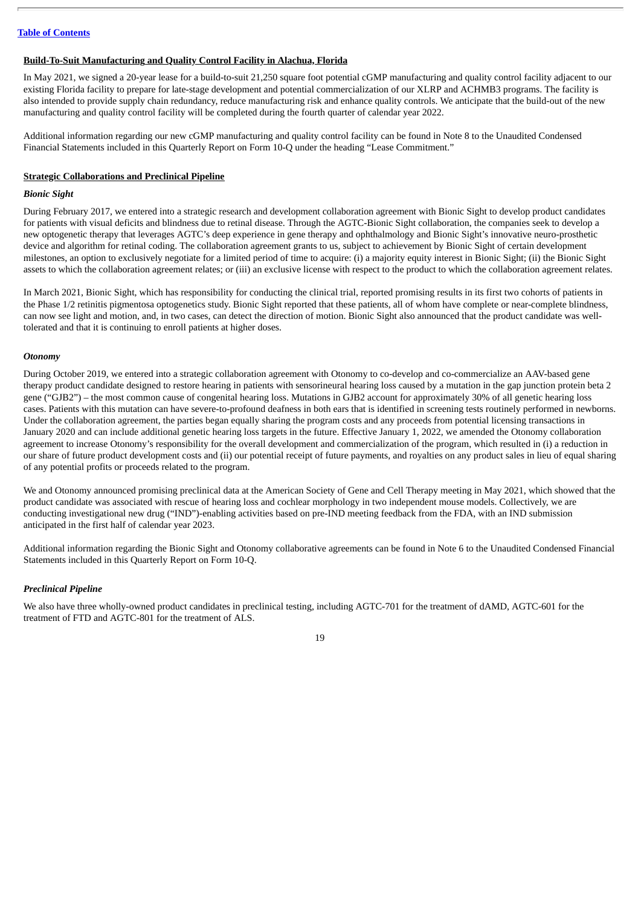# **Build-To-Suit Manufacturing and Quality Control Facility in Alachua, Florida**

In May 2021, we signed a 20-year lease for a build-to-suit 21,250 square foot potential cGMP manufacturing and quality control facility adjacent to our existing Florida facility to prepare for late-stage development and potential commercialization of our XLRP and ACHMB3 programs. The facility is also intended to provide supply chain redundancy, reduce manufacturing risk and enhance quality controls. We anticipate that the build-out of the new manufacturing and quality control facility will be completed during the fourth quarter of calendar year 2022.

Additional information regarding our new cGMP manufacturing and quality control facility can be found in Note 8 to the Unaudited Condensed Financial Statements included in this Quarterly Report on Form 10-Q under the heading "Lease Commitment."

#### **Strategic Collaborations and Preclinical Pipeline**

## *Bionic Sight*

During February 2017, we entered into a strategic research and development collaboration agreement with Bionic Sight to develop product candidates for patients with visual deficits and blindness due to retinal disease. Through the AGTC-Bionic Sight collaboration, the companies seek to develop a new optogenetic therapy that leverages AGTC's deep experience in gene therapy and ophthalmology and Bionic Sight's innovative neuro-prosthetic device and algorithm for retinal coding. The collaboration agreement grants to us, subject to achievement by Bionic Sight of certain development milestones, an option to exclusively negotiate for a limited period of time to acquire: (i) a majority equity interest in Bionic Sight; (ii) the Bionic Sight assets to which the collaboration agreement relates; or (iii) an exclusive license with respect to the product to which the collaboration agreement relates.

In March 2021, Bionic Sight, which has responsibility for conducting the clinical trial, reported promising results in its first two cohorts of patients in the Phase 1/2 retinitis pigmentosa optogenetics study. Bionic Sight reported that these patients, all of whom have complete or near-complete blindness, can now see light and motion, and, in two cases, can detect the direction of motion. Bionic Sight also announced that the product candidate was welltolerated and that it is continuing to enroll patients at higher doses.

#### *Otonomy*

During October 2019, we entered into a strategic collaboration agreement with Otonomy to co-develop and co-commercialize an AAV-based gene therapy product candidate designed to restore hearing in patients with sensorineural hearing loss caused by a mutation in the gap junction protein beta 2 gene ("GJB2") – the most common cause of congenital hearing loss. Mutations in GJB2 account for approximately 30% of all genetic hearing loss cases. Patients with this mutation can have severe-to-profound deafness in both ears that is identified in screening tests routinely performed in newborns. Under the collaboration agreement, the parties began equally sharing the program costs and any proceeds from potential licensing transactions in January 2020 and can include additional genetic hearing loss targets in the future. Effective January 1, 2022, we amended the Otonomy collaboration agreement to increase Otonomy's responsibility for the overall development and commercialization of the program, which resulted in (i) a reduction in our share of future product development costs and (ii) our potential receipt of future payments, and royalties on any product sales in lieu of equal sharing of any potential profits or proceeds related to the program.

We and Otonomy announced promising preclinical data at the American Society of Gene and Cell Therapy meeting in May 2021, which showed that the product candidate was associated with rescue of hearing loss and cochlear morphology in two independent mouse models. Collectively, we are conducting investigational new drug ("IND")-enabling activities based on pre-IND meeting feedback from the FDA, with an IND submission anticipated in the first half of calendar year 2023.

Additional information regarding the Bionic Sight and Otonomy collaborative agreements can be found in Note 6 to the Unaudited Condensed Financial Statements included in this Quarterly Report on Form 10-Q.

#### *Preclinical Pipeline*

We also have three wholly-owned product candidates in preclinical testing, including AGTC-701 for the treatment of dAMD, AGTC-601 for the treatment of FTD and AGTC-801 for the treatment of ALS.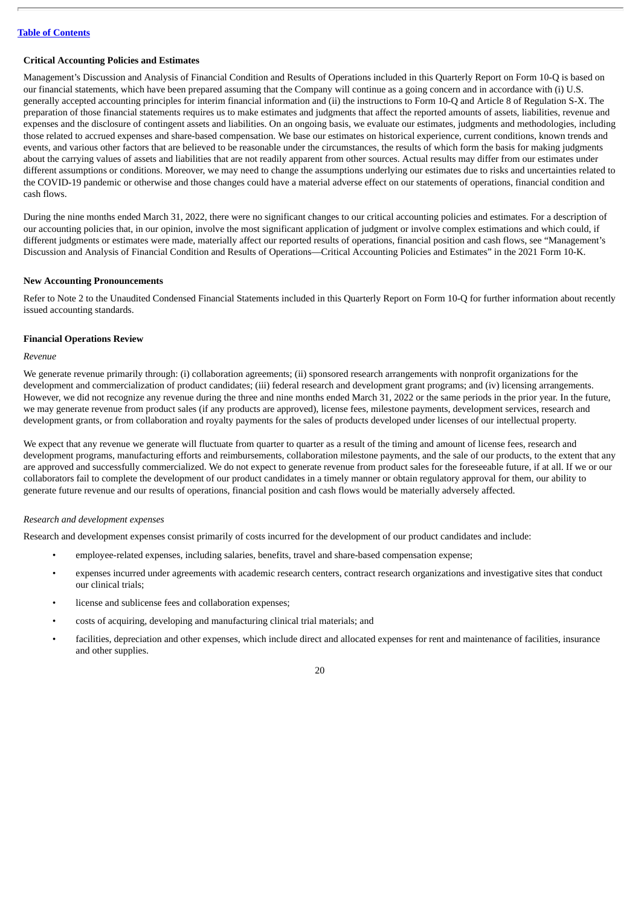# **Critical Accounting Policies and Estimates**

Management's Discussion and Analysis of Financial Condition and Results of Operations included in this Quarterly Report on Form 10-Q is based on our financial statements, which have been prepared assuming that the Company will continue as a going concern and in accordance with (i) U.S. generally accepted accounting principles for interim financial information and (ii) the instructions to Form 10-Q and Article 8 of Regulation S-X. The preparation of those financial statements requires us to make estimates and judgments that affect the reported amounts of assets, liabilities, revenue and expenses and the disclosure of contingent assets and liabilities. On an ongoing basis, we evaluate our estimates, judgments and methodologies, including those related to accrued expenses and share-based compensation. We base our estimates on historical experience, current conditions, known trends and events, and various other factors that are believed to be reasonable under the circumstances, the results of which form the basis for making judgments about the carrying values of assets and liabilities that are not readily apparent from other sources. Actual results may differ from our estimates under different assumptions or conditions. Moreover, we may need to change the assumptions underlying our estimates due to risks and uncertainties related to the COVID-19 pandemic or otherwise and those changes could have a material adverse effect on our statements of operations, financial condition and cash flows.

During the nine months ended March 31, 2022, there were no significant changes to our critical accounting policies and estimates. For a description of our accounting policies that, in our opinion, involve the most significant application of judgment or involve complex estimations and which could, if different judgments or estimates were made, materially affect our reported results of operations, financial position and cash flows, see "Management's Discussion and Analysis of Financial Condition and Results of Operations—Critical Accounting Policies and Estimates" in the 2021 Form 10-K.

# **New Accounting Pronouncements**

Refer to Note 2 to the Unaudited Condensed Financial Statements included in this Quarterly Report on Form 10-Q for further information about recently issued accounting standards.

#### **Financial Operations Review**

#### *Revenue*

We generate revenue primarily through: (i) collaboration agreements; (ii) sponsored research arrangements with nonprofit organizations for the development and commercialization of product candidates; (iii) federal research and development grant programs; and (iv) licensing arrangements. However, we did not recognize any revenue during the three and nine months ended March 31, 2022 or the same periods in the prior year. In the future, we may generate revenue from product sales (if any products are approved), license fees, milestone payments, development services, research and development grants, or from collaboration and royalty payments for the sales of products developed under licenses of our intellectual property.

We expect that any revenue we generate will fluctuate from quarter to quarter as a result of the timing and amount of license fees, research and development programs, manufacturing efforts and reimbursements, collaboration milestone payments, and the sale of our products, to the extent that any are approved and successfully commercialized. We do not expect to generate revenue from product sales for the foreseeable future, if at all. If we or our collaborators fail to complete the development of our product candidates in a timely manner or obtain regulatory approval for them, our ability to generate future revenue and our results of operations, financial position and cash flows would be materially adversely affected.

## *Research and development expenses*

Research and development expenses consist primarily of costs incurred for the development of our product candidates and include:

- employee-related expenses, including salaries, benefits, travel and share-based compensation expense;
- expenses incurred under agreements with academic research centers, contract research organizations and investigative sites that conduct our clinical trials;
- license and sublicense fees and collaboration expenses;
- costs of acquiring, developing and manufacturing clinical trial materials; and
- facilities, depreciation and other expenses, which include direct and allocated expenses for rent and maintenance of facilities, insurance and other supplies.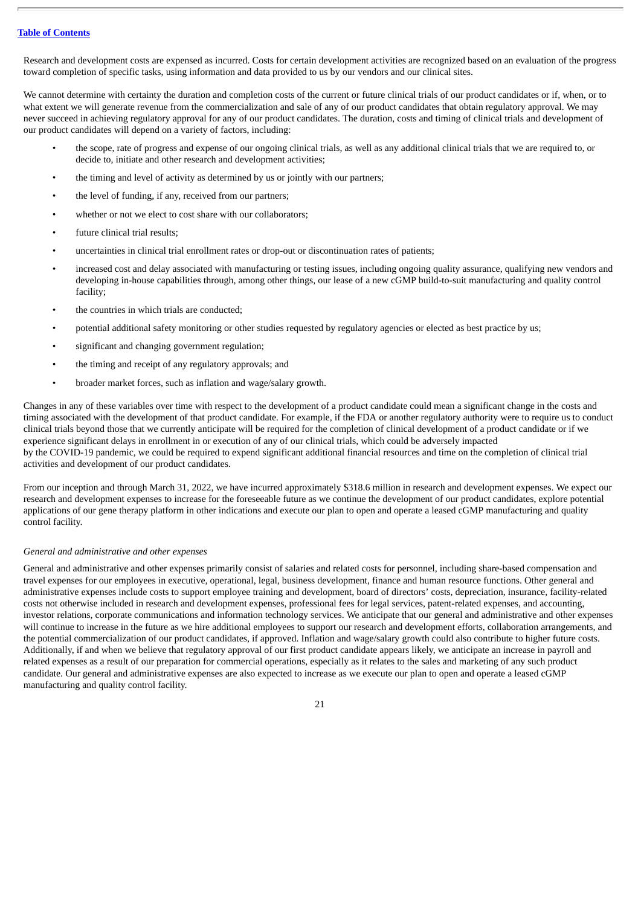Research and development costs are expensed as incurred. Costs for certain development activities are recognized based on an evaluation of the progress toward completion of specific tasks, using information and data provided to us by our vendors and our clinical sites.

We cannot determine with certainty the duration and completion costs of the current or future clinical trials of our product candidates or if, when, or to what extent we will generate revenue from the commercialization and sale of any of our product candidates that obtain regulatory approval. We may never succeed in achieving regulatory approval for any of our product candidates. The duration, costs and timing of clinical trials and development of our product candidates will depend on a variety of factors, including:

- the scope, rate of progress and expense of our ongoing clinical trials, as well as any additional clinical trials that we are required to, or decide to, initiate and other research and development activities;
- the timing and level of activity as determined by us or jointly with our partners;
- the level of funding, if any, received from our partners;
- whether or not we elect to cost share with our collaborators;
- future clinical trial results:
- uncertainties in clinical trial enrollment rates or drop-out or discontinuation rates of patients;
- increased cost and delay associated with manufacturing or testing issues, including ongoing quality assurance, qualifying new vendors and developing in-house capabilities through, among other things, our lease of a new cGMP build-to-suit manufacturing and quality control facility;
- the countries in which trials are conducted;
- potential additional safety monitoring or other studies requested by regulatory agencies or elected as best practice by us;
- significant and changing government regulation;
- the timing and receipt of any regulatory approvals; and
- broader market forces, such as inflation and wage/salary growth.

Changes in any of these variables over time with respect to the development of a product candidate could mean a significant change in the costs and timing associated with the development of that product candidate. For example, if the FDA or another regulatory authority were to require us to conduct clinical trials beyond those that we currently anticipate will be required for the completion of clinical development of a product candidate or if we experience significant delays in enrollment in or execution of any of our clinical trials, which could be adversely impacted by the COVID-19 pandemic, we could be required to expend significant additional financial resources and time on the completion of clinical trial activities and development of our product candidates.

From our inception and through March 31, 2022, we have incurred approximately \$318.6 million in research and development expenses. We expect our research and development expenses to increase for the foreseeable future as we continue the development of our product candidates, explore potential applications of our gene therapy platform in other indications and execute our plan to open and operate a leased cGMP manufacturing and quality control facility.

#### *General and administrative and other expenses*

General and administrative and other expenses primarily consist of salaries and related costs for personnel, including share-based compensation and travel expenses for our employees in executive, operational, legal, business development, finance and human resource functions. Other general and administrative expenses include costs to support employee training and development, board of directors' costs, depreciation, insurance, facility-related costs not otherwise included in research and development expenses, professional fees for legal services, patent-related expenses, and accounting, investor relations, corporate communications and information technology services. We anticipate that our general and administrative and other expenses will continue to increase in the future as we hire additional employees to support our research and development efforts, collaboration arrangements, and the potential commercialization of our product candidates, if approved. Inflation and wage/salary growth could also contribute to higher future costs. Additionally, if and when we believe that regulatory approval of our first product candidate appears likely, we anticipate an increase in payroll and related expenses as a result of our preparation for commercial operations, especially as it relates to the sales and marketing of any such product candidate. Our general and administrative expenses are also expected to increase as we execute our plan to open and operate a leased cGMP manufacturing and quality control facility.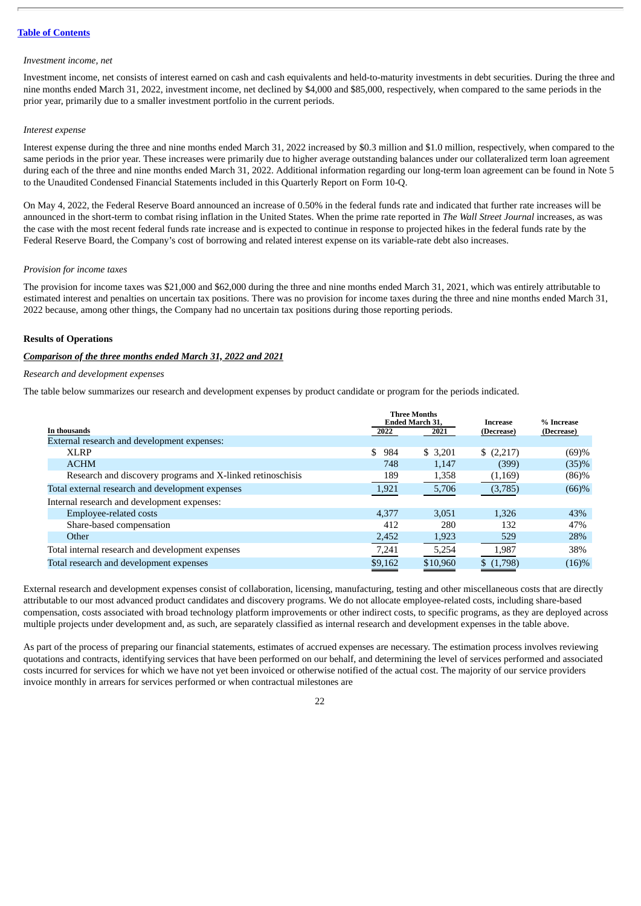#### *Investment income, net*

Investment income, net consists of interest earned on cash and cash equivalents and held-to-maturity investments in debt securities. During the three and nine months ended March 31, 2022, investment income, net declined by \$4,000 and \$85,000, respectively, when compared to the same periods in the prior year, primarily due to a smaller investment portfolio in the current periods.

#### *Interest expense*

Interest expense during the three and nine months ended March 31, 2022 increased by \$0.3 million and \$1.0 million, respectively, when compared to the same periods in the prior year. These increases were primarily due to higher average outstanding balances under our collateralized term loan agreement during each of the three and nine months ended March 31, 2022. Additional information regarding our long-term loan agreement can be found in Note 5 to the Unaudited Condensed Financial Statements included in this Quarterly Report on Form 10-Q.

On May 4, 2022, the Federal Reserve Board announced an increase of 0.50% in the federal funds rate and indicated that further rate increases will be announced in the short-term to combat rising inflation in the United States. When the prime rate reported in *The Wall Street Journal* increases, as was the case with the most recent federal funds rate increase and is expected to continue in response to projected hikes in the federal funds rate by the Federal Reserve Board, the Company's cost of borrowing and related interest expense on its variable-rate debt also increases.

#### *Provision for income taxes*

The provision for income taxes was \$21,000 and \$62,000 during the three and nine months ended March 31, 2021, which was entirely attributable to estimated interest and penalties on uncertain tax positions. There was no provision for income taxes during the three and nine months ended March 31, 2022 because, among other things, the Company had no uncertain tax positions during those reporting periods.

# **Results of Operations**

#### *Comparison of the three months ended March 31, 2022 and 2021*

# *Research and development expenses*

The table below summarizes our research and development expenses by product candidate or program for the periods indicated.

|                                                            |           | <b>Three Months</b><br><b>Ended March 31.</b> | Increase   | % Increase |  |
|------------------------------------------------------------|-----------|-----------------------------------------------|------------|------------|--|
| In thousands                                               | 2022      | 2021                                          | (Decrease) | (Decrease) |  |
| External research and development expenses:                |           |                                               |            |            |  |
| <b>XLRP</b>                                                | 984<br>\$ | \$3,201                                       | (2,217)    | (69)%      |  |
| <b>ACHM</b>                                                | 748       | 1.147                                         | (399)      | (35)%      |  |
| Research and discovery programs and X-linked retinoschisis | 189       | 1,358                                         | (1, 169)   | $(86)\%$   |  |
| Total external research and development expenses           | 1,921     | 5,706                                         | (3,785)    | (66)%      |  |
| Internal research and development expenses:                |           |                                               |            |            |  |
| Employee-related costs                                     | 4.377     | 3.051                                         | 1.326      | 43%        |  |
| Share-based compensation                                   | 412       | 280                                           | 132        | 47%        |  |
| Other                                                      | 2,452     | 1,923                                         | 529        | 28%        |  |
| Total internal research and development expenses           | 7,241     | 5,254                                         | 1,987      | 38%        |  |
| Total research and development expenses                    | \$9,162   | \$10,960                                      | \$(1,798)  | (16)%      |  |

External research and development expenses consist of collaboration, licensing, manufacturing, testing and other miscellaneous costs that are directly attributable to our most advanced product candidates and discovery programs. We do not allocate employee-related costs, including share-based compensation, costs associated with broad technology platform improvements or other indirect costs, to specific programs, as they are deployed across multiple projects under development and, as such, are separately classified as internal research and development expenses in the table above.

As part of the process of preparing our financial statements, estimates of accrued expenses are necessary. The estimation process involves reviewing quotations and contracts, identifying services that have been performed on our behalf, and determining the level of services performed and associated costs incurred for services for which we have not yet been invoiced or otherwise notified of the actual cost. The majority of our service providers invoice monthly in arrears for services performed or when contractual milestones are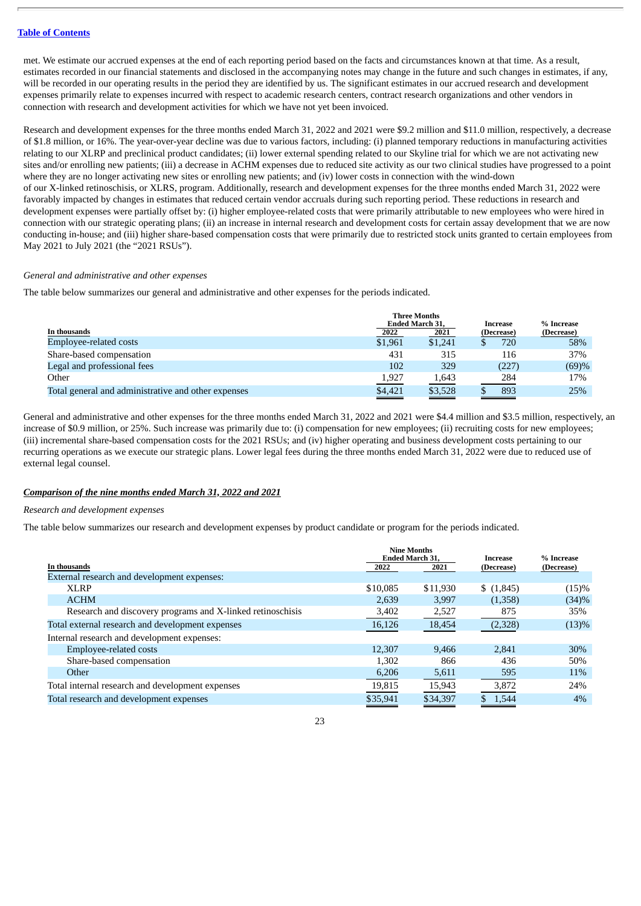met. We estimate our accrued expenses at the end of each reporting period based on the facts and circumstances known at that time. As a result, estimates recorded in our financial statements and disclosed in the accompanying notes may change in the future and such changes in estimates, if any, will be recorded in our operating results in the period they are identified by us. The significant estimates in our accrued research and development expenses primarily relate to expenses incurred with respect to academic research centers, contract research organizations and other vendors in connection with research and development activities for which we have not yet been invoiced.

Research and development expenses for the three months ended March 31, 2022 and 2021 were \$9.2 million and \$11.0 million, respectively, a decrease of \$1.8 million, or 16%. The year-over-year decline was due to various factors, including: (i) planned temporary reductions in manufacturing activities relating to our XLRP and preclinical product candidates; (ii) lower external spending related to our Skyline trial for which we are not activating new sites and/or enrolling new patients; (iii) a decrease in ACHM expenses due to reduced site activity as our two clinical studies have progressed to a point where they are no longer activating new sites or enrolling new patients; and (iv) lower costs in connection with the wind-down of our X-linked retinoschisis, or XLRS, program. Additionally, research and development expenses for the three months ended March 31, 2022 were favorably impacted by changes in estimates that reduced certain vendor accruals during such reporting period. These reductions in research and development expenses were partially offset by: (i) higher employee-related costs that were primarily attributable to new employees who were hired in connection with our strategic operating plans; (ii) an increase in internal research and development costs for certain assay development that we are now conducting in-house; and (iii) higher share-based compensation costs that were primarily due to restricted stock units granted to certain employees from May 2021 to July 2021 (the "2021 RSUs").

# *General and administrative and other expenses*

The table below summarizes our general and administrative and other expenses for the periods indicated.

|                                                     | <b>Three Months</b> |                        |            |            |  |
|-----------------------------------------------------|---------------------|------------------------|------------|------------|--|
|                                                     |                     | <b>Ended March 31.</b> | Increase   | % Increase |  |
| In thousands                                        | 2022                | 2021                   | (Decrease) | (Decrease) |  |
| Employee-related costs                              | \$1,961             | \$1,241                | 720        | 58%        |  |
| Share-based compensation                            | 431                 | 315                    | 116        | 37%        |  |
| Legal and professional fees                         | 102                 | 329                    | (227)      | (69)%      |  |
| Other                                               | 1,927               | <u>1,643</u>           | 284        | 17%        |  |
| Total general and administrative and other expenses | \$4,421             | \$3,528                | 893        | 25%        |  |

General and administrative and other expenses for the three months ended March 31, 2022 and 2021 were \$4.4 million and \$3.5 million, respectively, an increase of \$0.9 million, or 25%. Such increase was primarily due to: (i) compensation for new employees; (ii) recruiting costs for new employees; (iii) incremental share-based compensation costs for the 2021 RSUs; and (iv) higher operating and business development costs pertaining to our recurring operations as we execute our strategic plans. Lower legal fees during the three months ended March 31, 2022 were due to reduced use of external legal counsel.

# *Comparison of the nine months ended March 31, 2022 and 2021*

# *Research and development expenses*

The table below summarizes our research and development expenses by product candidate or program for the periods indicated.

|                                                            | <b>Nine Months</b> |                 |           |            |  |
|------------------------------------------------------------|--------------------|-----------------|-----------|------------|--|
|                                                            |                    | Ended March 31, |           | % Increase |  |
| In thousands                                               |                    | 2022<br>2021    |           | (Decrease) |  |
| External research and development expenses:                |                    |                 |           |            |  |
| <b>XLRP</b>                                                | \$10,085           | \$11,930        | \$(1,845) | (15)%      |  |
| <b>ACHM</b>                                                | 2.639              | 3.997           | (1,358)   | (34)%      |  |
| Research and discovery programs and X-linked retinoschisis | 3,402              | 2,527           | 875       | 35%        |  |
| Total external research and development expenses           | 16,126             | 18,454          | (2,328)   | (13)%      |  |
| Internal research and development expenses:                |                    |                 |           |            |  |
| Employee-related costs                                     | 12.307             | 9.466           | 2.841     | 30%        |  |
| Share-based compensation                                   | 1,302              | 866             | 436       | 50%        |  |
| Other                                                      | 6,206              | 5,611           | 595       | 11%        |  |
| Total internal research and development expenses           | 19,815             | 15,943          | 3,872     | 24%        |  |
| Total research and development expenses                    | \$35,941           | \$34,397        | 1,544     | $4\%$      |  |
|                                                            |                    |                 |           |            |  |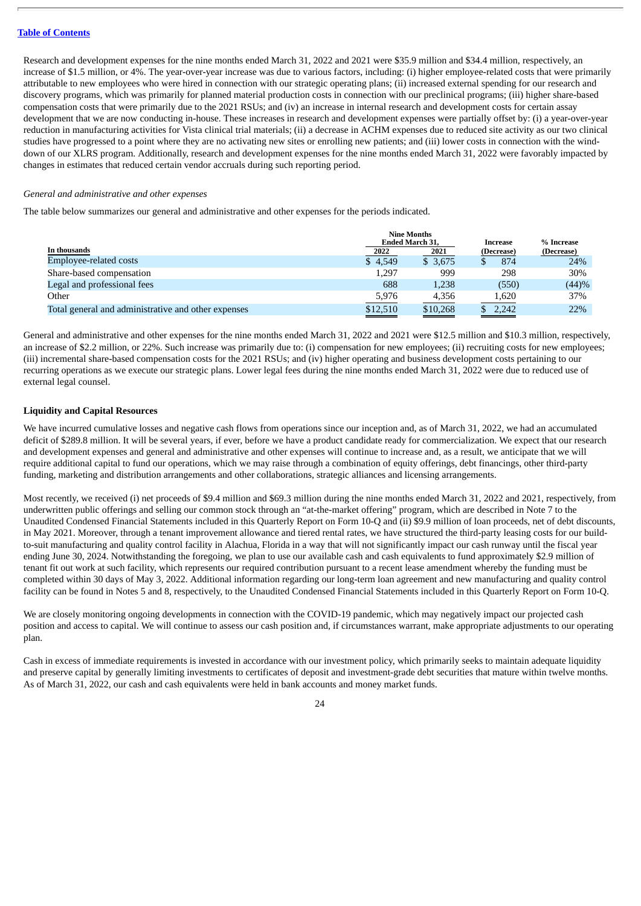Research and development expenses for the nine months ended March 31, 2022 and 2021 were \$35.9 million and \$34.4 million, respectively, an increase of \$1.5 million, or 4%. The year-over-year increase was due to various factors, including: (i) higher employee-related costs that were primarily attributable to new employees who were hired in connection with our strategic operating plans; (ii) increased external spending for our research and discovery programs, which was primarily for planned material production costs in connection with our preclinical programs; (iii) higher share-based compensation costs that were primarily due to the 2021 RSUs; and (iv) an increase in internal research and development costs for certain assay development that we are now conducting in-house. These increases in research and development expenses were partially offset by: (i) a year-over-year reduction in manufacturing activities for Vista clinical trial materials; (ii) a decrease in ACHM expenses due to reduced site activity as our two clinical studies have progressed to a point where they are no activating new sites or enrolling new patients; and (iii) lower costs in connection with the winddown of our XLRS program. Additionally, research and development expenses for the nine months ended March 31, 2022 were favorably impacted by changes in estimates that reduced certain vendor accruals during such reporting period.

#### *General and administrative and other expenses*

The table below summarizes our general and administrative and other expenses for the periods indicated.

|                                                     | <b>Nine Months</b>     |          |            |            |  |
|-----------------------------------------------------|------------------------|----------|------------|------------|--|
|                                                     | <b>Ended March 31.</b> |          | Increase   | % Increase |  |
| In thousands                                        | 2022                   | 2021     | (Decrease) | (Decrease) |  |
| Employee-related costs                              | \$4,549                | \$3,675  | 874        | 24%        |  |
| Share-based compensation                            | 1,297                  | 999      | 298        | 30%        |  |
| Legal and professional fees                         | 688                    | 1,238    | (550)      | (44)%      |  |
| Other                                               | 5,976                  | 4,356    | 1,620      | 37%        |  |
| Total general and administrative and other expenses | \$12,510               | \$10,268 | 2,242      | 22%        |  |

General and administrative and other expenses for the nine months ended March 31, 2022 and 2021 were \$12.5 million and \$10.3 million, respectively, an increase of \$2.2 million, or 22%. Such increase was primarily due to: (i) compensation for new employees; (ii) recruiting costs for new employees; (iii) incremental share-based compensation costs for the 2021 RSUs; and (iv) higher operating and business development costs pertaining to our recurring operations as we execute our strategic plans. Lower legal fees during the nine months ended March 31, 2022 were due to reduced use of external legal counsel.

# **Liquidity and Capital Resources**

We have incurred cumulative losses and negative cash flows from operations since our inception and, as of March 31, 2022, we had an accumulated deficit of \$289.8 million. It will be several years, if ever, before we have a product candidate ready for commercialization. We expect that our research and development expenses and general and administrative and other expenses will continue to increase and, as a result, we anticipate that we will require additional capital to fund our operations, which we may raise through a combination of equity offerings, debt financings, other third-party funding, marketing and distribution arrangements and other collaborations, strategic alliances and licensing arrangements.

Most recently, we received (i) net proceeds of \$9.4 million and \$69.3 million during the nine months ended March 31, 2022 and 2021, respectively, from underwritten public offerings and selling our common stock through an "at-the-market offering" program, which are described in Note 7 to the Unaudited Condensed Financial Statements included in this Quarterly Report on Form 10-Q and (ii) \$9.9 million of loan proceeds, net of debt discounts, in May 2021. Moreover, through a tenant improvement allowance and tiered rental rates, we have structured the third-party leasing costs for our buildto-suit manufacturing and quality control facility in Alachua, Florida in a way that will not significantly impact our cash runway until the fiscal year ending June 30, 2024. Notwithstanding the foregoing, we plan to use our available cash and cash equivalents to fund approximately \$2.9 million of tenant fit out work at such facility, which represents our required contribution pursuant to a recent lease amendment whereby the funding must be completed within 30 days of May 3, 2022. Additional information regarding our long-term loan agreement and new manufacturing and quality control facility can be found in Notes 5 and 8, respectively, to the Unaudited Condensed Financial Statements included in this Quarterly Report on Form 10-Q.

We are closely monitoring ongoing developments in connection with the COVID-19 pandemic, which may negatively impact our projected cash position and access to capital. We will continue to assess our cash position and, if circumstances warrant, make appropriate adjustments to our operating plan.

Cash in excess of immediate requirements is invested in accordance with our investment policy, which primarily seeks to maintain adequate liquidity and preserve capital by generally limiting investments to certificates of deposit and investment-grade debt securities that mature within twelve months. As of March 31, 2022, our cash and cash equivalents were held in bank accounts and money market funds.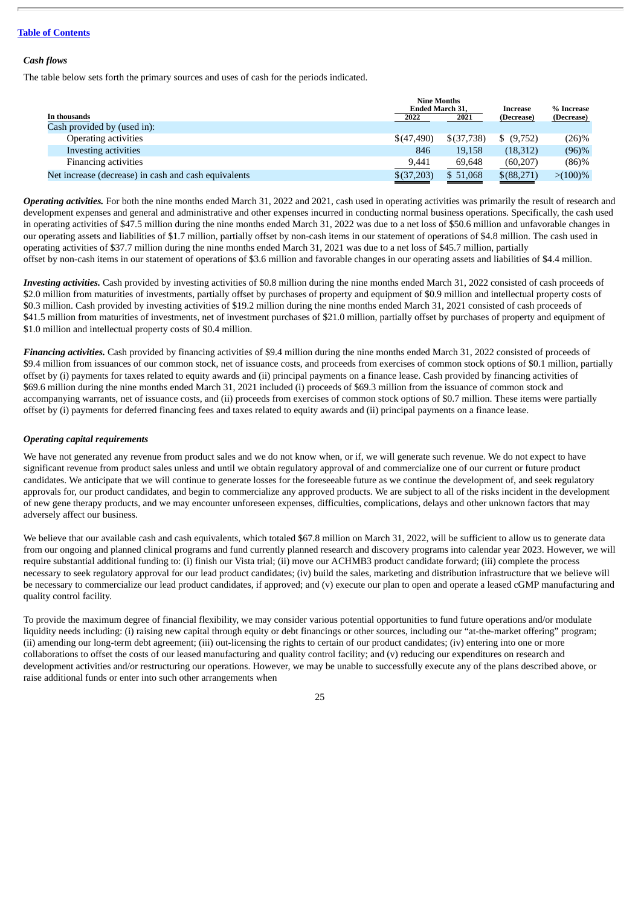# *Cash flows*

The table below sets forth the primary sources and uses of cash for the periods indicated.

|                                                      | <b>Nine Months</b><br>Ended March 31, |              | Increase   | % Increase |
|------------------------------------------------------|---------------------------------------|--------------|------------|------------|
| In thousands                                         | 2022                                  | 2021         | (Decrease) | (Decrease) |
| Cash provided by (used in):                          |                                       |              |            |            |
| <b>Operating activities</b>                          | \$(47,490)                            | $$$ (37,738) | \$ (9,752) | (26)%      |
| Investing activities                                 | 846                                   | 19,158       | (18, 312)  | (96)%      |
| Financing activities                                 | 9,441                                 | 69,648       | (60, 207)  | (86)%      |
| Net increase (decrease) in cash and cash equivalents | \$(37,203)                            | \$51,068     | \$(88,271) | $>(100)\%$ |

*Operating activities.* For both the nine months ended March 31, 2022 and 2021, cash used in operating activities was primarily the result of research and development expenses and general and administrative and other expenses incurred in conducting normal business operations. Specifically, the cash used in operating activities of \$47.5 million during the nine months ended March 31, 2022 was due to a net loss of \$50.6 million and unfavorable changes in our operating assets and liabilities of \$1.7 million, partially offset by non-cash items in our statement of operations of \$4.8 million. The cash used in operating activities of \$37.7 million during the nine months ended March 31, 2021 was due to a net loss of \$45.7 million, partially offset by non-cash items in our statement of operations of \$3.6 million and favorable changes in our operating assets and liabilities of \$4.4 million.

*Investing activities.* Cash provided by investing activities of \$0.8 million during the nine months ended March 31, 2022 consisted of cash proceeds of \$2.0 million from maturities of investments, partially offset by purchases of property and equipment of \$0.9 million and intellectual property costs of \$0.3 million. Cash provided by investing activities of \$19.2 million during the nine months ended March 31, 2021 consisted of cash proceeds of \$41.5 million from maturities of investments, net of investment purchases of \$21.0 million, partially offset by purchases of property and equipment of \$1.0 million and intellectual property costs of \$0.4 million.

*Financing activities.* Cash provided by financing activities of \$9.4 million during the nine months ended March 31, 2022 consisted of proceeds of \$9.4 million from issuances of our common stock, net of issuance costs, and proceeds from exercises of common stock options of \$0.1 million, partially offset by (i) payments for taxes related to equity awards and (ii) principal payments on a finance lease. Cash provided by financing activities of \$69.6 million during the nine months ended March 31, 2021 included (i) proceeds of \$69.3 million from the issuance of common stock and accompanying warrants, net of issuance costs, and (ii) proceeds from exercises of common stock options of \$0.7 million. These items were partially offset by (i) payments for deferred financing fees and taxes related to equity awards and (ii) principal payments on a finance lease.

# *Operating capital requirements*

We have not generated any revenue from product sales and we do not know when, or if, we will generate such revenue. We do not expect to have significant revenue from product sales unless and until we obtain regulatory approval of and commercialize one of our current or future product candidates. We anticipate that we will continue to generate losses for the foreseeable future as we continue the development of, and seek regulatory approvals for, our product candidates, and begin to commercialize any approved products. We are subject to all of the risks incident in the development of new gene therapy products, and we may encounter unforeseen expenses, difficulties, complications, delays and other unknown factors that may adversely affect our business.

We believe that our available cash and cash equivalents, which totaled \$67.8 million on March 31, 2022, will be sufficient to allow us to generate data from our ongoing and planned clinical programs and fund currently planned research and discovery programs into calendar year 2023. However, we will require substantial additional funding to: (i) finish our Vista trial; (ii) move our ACHMB3 product candidate forward; (iii) complete the process necessary to seek regulatory approval for our lead product candidates; (iv) build the sales, marketing and distribution infrastructure that we believe will be necessary to commercialize our lead product candidates, if approved; and (v) execute our plan to open and operate a leased cGMP manufacturing and quality control facility.

To provide the maximum degree of financial flexibility, we may consider various potential opportunities to fund future operations and/or modulate liquidity needs including: (i) raising new capital through equity or debt financings or other sources, including our "at-the-market offering" program; (ii) amending our long-term debt agreement; (iii) out-licensing the rights to certain of our product candidates; (iv) entering into one or more collaborations to offset the costs of our leased manufacturing and quality control facility; and (v) reducing our expenditures on research and development activities and/or restructuring our operations. However, we may be unable to successfully execute any of the plans described above, or raise additional funds or enter into such other arrangements when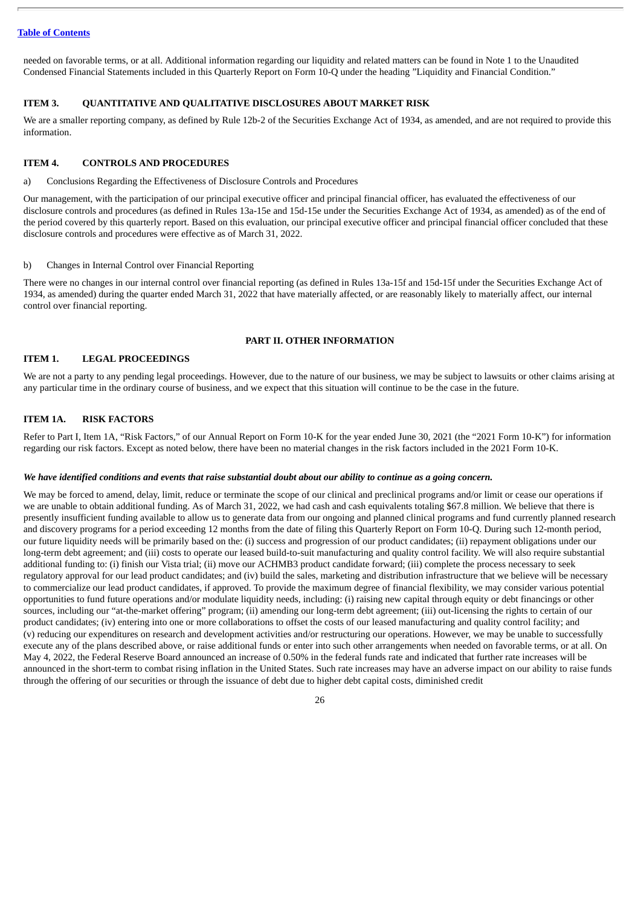needed on favorable terms, or at all. Additional information regarding our liquidity and related matters can be found in Note 1 to the Unaudited Condensed Financial Statements included in this Quarterly Report on Form 10-Q under the heading "Liquidity and Financial Condition."

# <span id="page-26-0"></span>**ITEM 3. QUANTITATIVE AND QUALITATIVE DISCLOSURES ABOUT MARKET RISK**

We are a smaller reporting company, as defined by Rule 12b-2 of the Securities Exchange Act of 1934, as amended, and are not required to provide this information.

# <span id="page-26-1"></span>**ITEM 4. CONTROLS AND PROCEDURES**

a) Conclusions Regarding the Effectiveness of Disclosure Controls and Procedures

Our management, with the participation of our principal executive officer and principal financial officer, has evaluated the effectiveness of our disclosure controls and procedures (as defined in Rules 13a-15e and 15d-15e under the Securities Exchange Act of 1934, as amended) as of the end of the period covered by this quarterly report. Based on this evaluation, our principal executive officer and principal financial officer concluded that these disclosure controls and procedures were effective as of March 31, 2022.

#### b) Changes in Internal Control over Financial Reporting

There were no changes in our internal control over financial reporting (as defined in Rules 13a-15f and 15d-15f under the Securities Exchange Act of 1934, as amended) during the quarter ended March 31, 2022 that have materially affected, or are reasonably likely to materially affect, our internal control over financial reporting.

# **PART II. OTHER INFORMATION**

#### <span id="page-26-3"></span><span id="page-26-2"></span>**ITEM 1. LEGAL PROCEEDINGS**

We are not a party to any pending legal proceedings. However, due to the nature of our business, we may be subject to lawsuits or other claims arising at any particular time in the ordinary course of business, and we expect that this situation will continue to be the case in the future.

### <span id="page-26-4"></span>**ITEM 1A. RISK FACTORS**

Refer to Part I, Item 1A, "Risk Factors," of our Annual Report on Form 10-K for the year ended June 30, 2021 (the "2021 Form 10-K") for information regarding our risk factors. Except as noted below, there have been no material changes in the risk factors included in the 2021 Form 10-K.

#### We have identified conditions and events that raise substantial doubt about our ability to continue as a going concern.

We may be forced to amend, delay, limit, reduce or terminate the scope of our clinical and preclinical programs and/or limit or cease our operations if we are unable to obtain additional funding. As of March 31, 2022, we had cash and cash equivalents totaling \$67.8 million. We believe that there is presently insufficient funding available to allow us to generate data from our ongoing and planned clinical programs and fund currently planned research and discovery programs for a period exceeding 12 months from the date of filing this Quarterly Report on Form 10-Q. During such 12-month period, our future liquidity needs will be primarily based on the: (i) success and progression of our product candidates; (ii) repayment obligations under our long-term debt agreement; and (iii) costs to operate our leased build-to-suit manufacturing and quality control facility. We will also require substantial additional funding to: (i) finish our Vista trial; (ii) move our ACHMB3 product candidate forward; (iii) complete the process necessary to seek regulatory approval for our lead product candidates; and (iv) build the sales, marketing and distribution infrastructure that we believe will be necessary to commercialize our lead product candidates, if approved. To provide the maximum degree of financial flexibility, we may consider various potential opportunities to fund future operations and/or modulate liquidity needs, including: (i) raising new capital through equity or debt financings or other sources, including our "at-the-market offering" program; (ii) amending our long-term debt agreement; (iii) out-licensing the rights to certain of our product candidates; (iv) entering into one or more collaborations to offset the costs of our leased manufacturing and quality control facility; and (v) reducing our expenditures on research and development activities and/or restructuring our operations. However, we may be unable to successfully execute any of the plans described above, or raise additional funds or enter into such other arrangements when needed on favorable terms, or at all. On May 4, 2022, the Federal Reserve Board announced an increase of 0.50% in the federal funds rate and indicated that further rate increases will be announced in the short-term to combat rising inflation in the United States. Such rate increases may have an adverse impact on our ability to raise funds through the offering of our securities or through the issuance of debt due to higher debt capital costs, diminished credit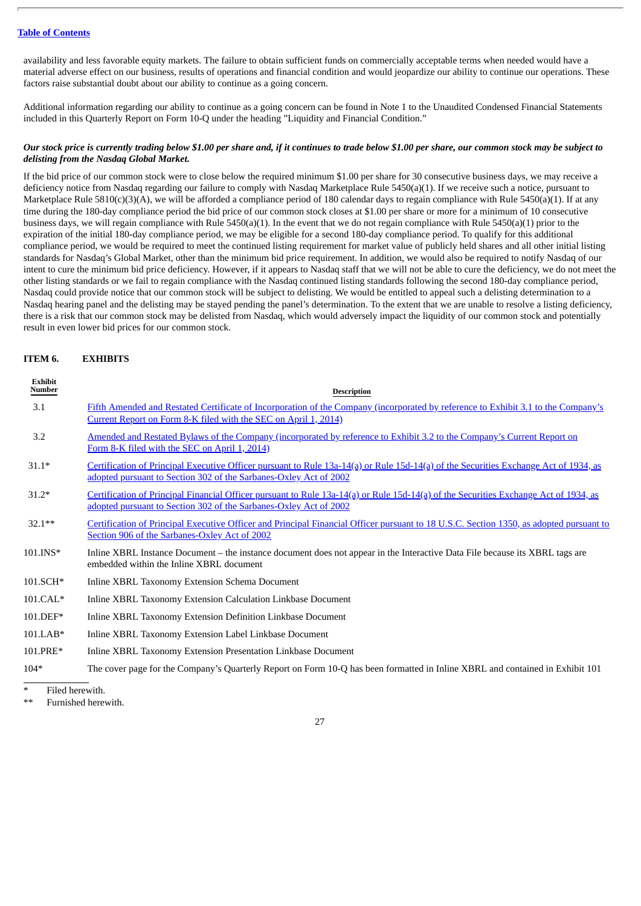availability and less favorable equity markets. The failure to obtain sufficient funds on commercially acceptable terms when needed would have a material adverse effect on our business, results of operations and financial condition and would jeopardize our ability to continue our operations. These factors raise substantial doubt about our ability to continue as a going concern.

Additional information regarding our ability to continue as a going concern can be found in Note 1 to the Unaudited Condensed Financial Statements included in this Quarterly Report on Form 10-Q under the heading "Liquidity and Financial Condition."

# Our stock price is currently trading below \$1.00 per share and, if it continues to trade below \$1.00 per share, our common stock may be subject to *delisting from the Nasdaq Global Market.*

If the bid price of our common stock were to close below the required minimum \$1.00 per share for 30 consecutive business days, we may receive a deficiency notice from Nasdaq regarding our failure to comply with Nasdaq Marketplace Rule 5450(a)(1). If we receive such a notice, pursuant to Marketplace Rule 5810(c)(3)(A), we will be afforded a compliance period of 180 calendar days to regain compliance with Rule 5450(a)(1). If at any time during the 180-day compliance period the bid price of our common stock closes at \$1.00 per share or more for a minimum of 10 consecutive business days, we will regain compliance with Rule 5450(a)(1). In the event that we do not regain compliance with Rule 5450(a)(1) prior to the expiration of the initial 180-day compliance period, we may be eligible for a second 180-day compliance period. To qualify for this additional compliance period, we would be required to meet the continued listing requirement for market value of publicly held shares and all other initial listing standards for Nasdaq's Global Market, other than the minimum bid price requirement. In addition, we would also be required to notify Nasdaq of our intent to cure the minimum bid price deficiency. However, if it appears to Nasdaq staff that we will not be able to cure the deficiency, we do not meet the other listing standards or we fail to regain compliance with the Nasdaq continued listing standards following the second 180-day compliance period, Nasdaq could provide notice that our common stock will be subject to delisting. We would be entitled to appeal such a delisting determination to a Nasdaq hearing panel and the delisting may be stayed pending the panel's determination. To the extent that we are unable to resolve a listing deficiency, there is a risk that our common stock may be delisted from Nasdaq, which would adversely impact the liquidity of our common stock and potentially result in even lower bid prices for our common stock.

# <span id="page-27-0"></span>**ITEM 6. EXHIBITS**

| <b>Exhibit</b><br>Number | <b>Description</b>                                                                                                                                                                                        |
|--------------------------|-----------------------------------------------------------------------------------------------------------------------------------------------------------------------------------------------------------|
| 3.1                      | Fifth Amended and Restated Certificate of Incorporation of the Company (incorporated by reference to Exhibit 3.1 to the Company's<br>Current Report on Form 8-K filed with the SEC on April 1, 2014)      |
| 3.2                      | <u>Amended and Restated Bylaws of the Company (incorporated by reference to Exhibit 3.2 to the Company's Current Report on</u><br>Form 8-K filed with the SEC on April 1, 2014)                           |
| $31.1*$                  | Certification of Principal Executive Officer pursuant to Rule 13a-14(a) or Rule 15d-14(a) of the Securities Exchange Act of 1934, as<br>adopted pursuant to Section 302 of the Sarbanes-Oxley Act of 2002 |
| $31.2*$                  | Certification of Principal Financial Officer pursuant to Rule 13a-14(a) or Rule 15d-14(a) of the Securities Exchange Act of 1934, as<br>adopted pursuant to Section 302 of the Sarbanes-Oxley Act of 2002 |
| $32.1***$                | Certification of Principal Executive Officer and Principal Financial Officer pursuant to 18 U.S.C. Section 1350, as adopted pursuant to<br>Section 906 of the Sarbanes-Oxley Act of 2002                  |
| 101.INS*                 | Inline XBRL Instance Document – the instance document does not appear in the Interactive Data File because its XBRL tags are<br>embedded within the Inline XBRL document                                  |
| 101.SCH*                 | Inline XBRL Taxonomy Extension Schema Document                                                                                                                                                            |
| 101.CAL*                 | Inline XBRL Taxonomy Extension Calculation Linkbase Document                                                                                                                                              |
| 101.DEF*                 | Inline XBRL Taxonomy Extension Definition Linkbase Document                                                                                                                                               |
| $101.LAB*$               | Inline XBRL Taxonomy Extension Label Linkbase Document                                                                                                                                                    |
| 101.PRE*                 | Inline XBRL Taxonomy Extension Presentation Linkbase Document                                                                                                                                             |

104\* The cover page for the Company's Quarterly Report on Form 10-Q has been formatted in Inline XBRL and contained in Exhibit 101

Filed herewith.

Furnished herewith.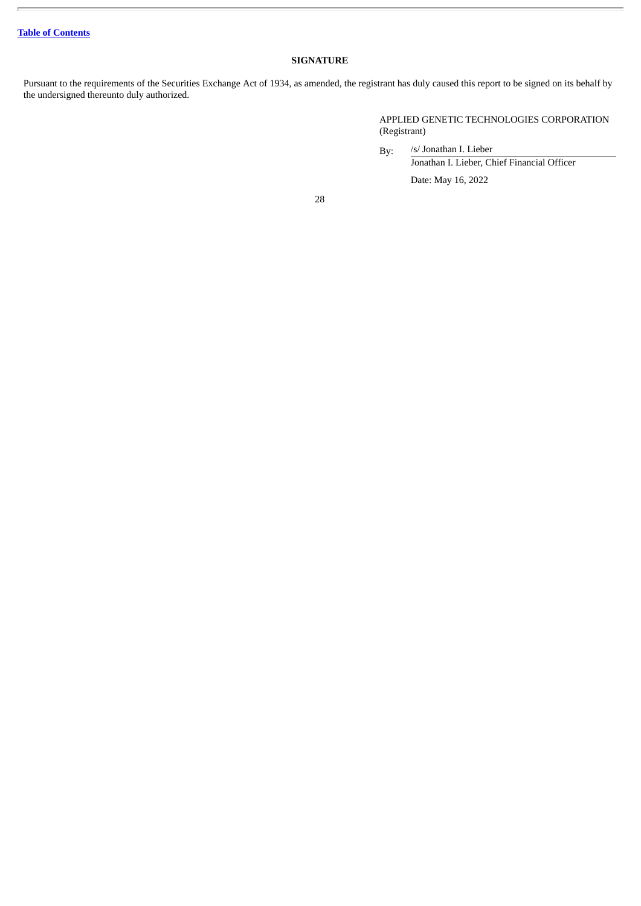# **SIGNATURE**

<span id="page-28-0"></span>Pursuant to the requirements of the Securities Exchange Act of 1934, as amended, the registrant has duly caused this report to be signed on its behalf by the undersigned thereunto duly authorized.

> APPLIED GENETIC TECHNOLOGIES CORPORATION (Registrant)

By: /s/ Jonathan I. Lieber Jonathan I. Lieber, Chief Financial Officer Date: May 16, 2022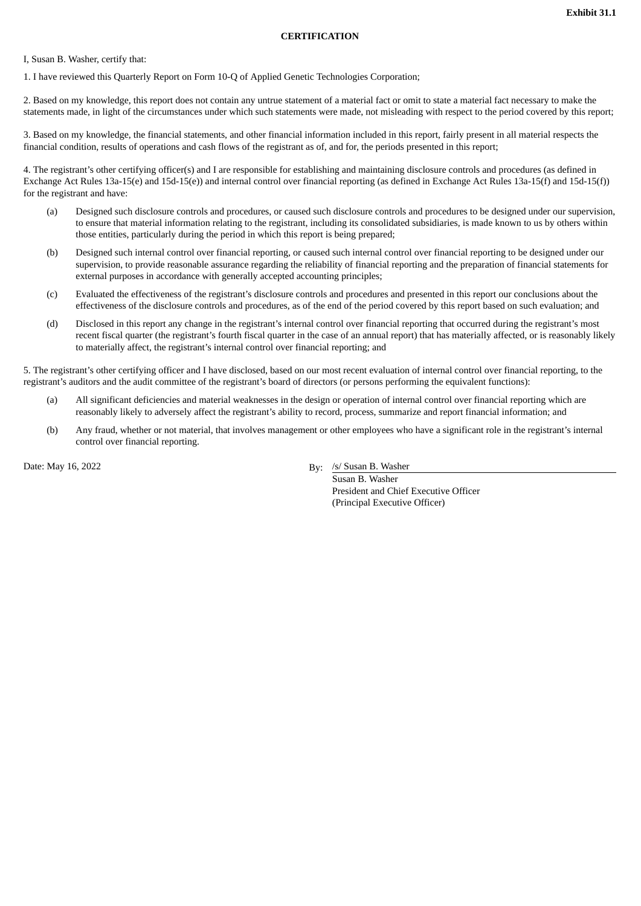# **CERTIFICATION**

<span id="page-29-0"></span>I, Susan B. Washer, certify that:

1. I have reviewed this Quarterly Report on Form 10-Q of Applied Genetic Technologies Corporation;

2. Based on my knowledge, this report does not contain any untrue statement of a material fact or omit to state a material fact necessary to make the statements made, in light of the circumstances under which such statements were made, not misleading with respect to the period covered by this report;

3. Based on my knowledge, the financial statements, and other financial information included in this report, fairly present in all material respects the financial condition, results of operations and cash flows of the registrant as of, and for, the periods presented in this report;

4. The registrant's other certifying officer(s) and I are responsible for establishing and maintaining disclosure controls and procedures (as defined in Exchange Act Rules 13a-15(e) and 15d-15(e)) and internal control over financial reporting (as defined in Exchange Act Rules 13a-15(f) and 15d-15(f)) for the registrant and have:

- (a) Designed such disclosure controls and procedures, or caused such disclosure controls and procedures to be designed under our supervision, to ensure that material information relating to the registrant, including its consolidated subsidiaries, is made known to us by others within those entities, particularly during the period in which this report is being prepared;
- (b) Designed such internal control over financial reporting, or caused such internal control over financial reporting to be designed under our supervision, to provide reasonable assurance regarding the reliability of financial reporting and the preparation of financial statements for external purposes in accordance with generally accepted accounting principles;
- (c) Evaluated the effectiveness of the registrant's disclosure controls and procedures and presented in this report our conclusions about the effectiveness of the disclosure controls and procedures, as of the end of the period covered by this report based on such evaluation; and
- (d) Disclosed in this report any change in the registrant's internal control over financial reporting that occurred during the registrant's most recent fiscal quarter (the registrant's fourth fiscal quarter in the case of an annual report) that has materially affected, or is reasonably likely to materially affect, the registrant's internal control over financial reporting; and

5. The registrant's other certifying officer and I have disclosed, based on our most recent evaluation of internal control over financial reporting, to the registrant's auditors and the audit committee of the registrant's board of directors (or persons performing the equivalent functions):

- (a) All significant deficiencies and material weaknesses in the design or operation of internal control over financial reporting which are reasonably likely to adversely affect the registrant's ability to record, process, summarize and report financial information; and
- (b) Any fraud, whether or not material, that involves management or other employees who have a significant role in the registrant's internal control over financial reporting.

Date: May  $16$ ,  $2022$  By:

/s/ Susan B. Washer

Susan B. Washer President and Chief Executive Officer (Principal Executive Officer)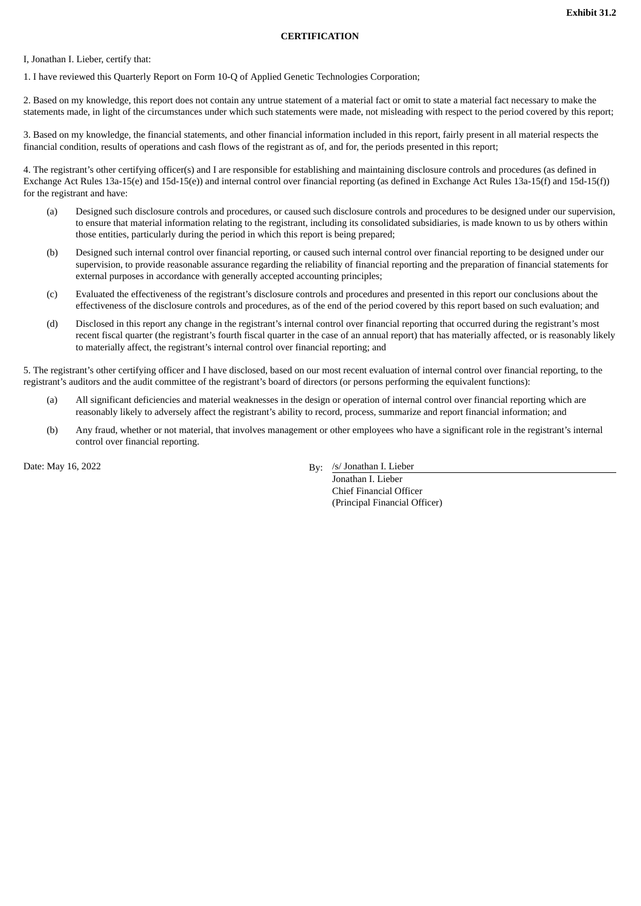# **CERTIFICATION**

<span id="page-30-0"></span>I, Jonathan I. Lieber, certify that:

1. I have reviewed this Quarterly Report on Form 10-Q of Applied Genetic Technologies Corporation;

2. Based on my knowledge, this report does not contain any untrue statement of a material fact or omit to state a material fact necessary to make the statements made, in light of the circumstances under which such statements were made, not misleading with respect to the period covered by this report;

3. Based on my knowledge, the financial statements, and other financial information included in this report, fairly present in all material respects the financial condition, results of operations and cash flows of the registrant as of, and for, the periods presented in this report;

4. The registrant's other certifying officer(s) and I are responsible for establishing and maintaining disclosure controls and procedures (as defined in Exchange Act Rules 13a-15(e) and 15d-15(e)) and internal control over financial reporting (as defined in Exchange Act Rules 13a-15(f) and 15d-15(f)) for the registrant and have:

- (a) Designed such disclosure controls and procedures, or caused such disclosure controls and procedures to be designed under our supervision, to ensure that material information relating to the registrant, including its consolidated subsidiaries, is made known to us by others within those entities, particularly during the period in which this report is being prepared;
- (b) Designed such internal control over financial reporting, or caused such internal control over financial reporting to be designed under our supervision, to provide reasonable assurance regarding the reliability of financial reporting and the preparation of financial statements for external purposes in accordance with generally accepted accounting principles;
- (c) Evaluated the effectiveness of the registrant's disclosure controls and procedures and presented in this report our conclusions about the effectiveness of the disclosure controls and procedures, as of the end of the period covered by this report based on such evaluation; and
- (d) Disclosed in this report any change in the registrant's internal control over financial reporting that occurred during the registrant's most recent fiscal quarter (the registrant's fourth fiscal quarter in the case of an annual report) that has materially affected, or is reasonably likely to materially affect, the registrant's internal control over financial reporting; and

5. The registrant's other certifying officer and I have disclosed, based on our most recent evaluation of internal control over financial reporting, to the registrant's auditors and the audit committee of the registrant's board of directors (or persons performing the equivalent functions):

- (a) All significant deficiencies and material weaknesses in the design or operation of internal control over financial reporting which are reasonably likely to adversely affect the registrant's ability to record, process, summarize and report financial information; and
- (b) Any fraud, whether or not material, that involves management or other employees who have a significant role in the registrant's internal control over financial reporting.

Date: May 16, 2022 By:

/s/ Jonathan I. Lieber

Jonathan I. Lieber Chief Financial Officer (Principal Financial Officer)